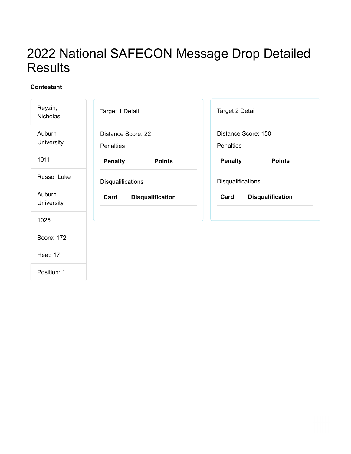# 2022 National SAFECON Message Drop Detailed **Results**

| Reyzin,<br>Nicholas  | Target 1 Detail                        | Target 2 Detail                  |
|----------------------|----------------------------------------|----------------------------------|
| Auburn<br>University | Distance Score: 22<br><b>Penalties</b> | Distance Score: 150<br>Penalties |
| 1011                 | <b>Penalty</b><br><b>Points</b>        | <b>Penalty</b><br><b>Points</b>  |
| Russo, Luke          | Disqualifications                      | Disqualifications                |
| Auburn<br>University | Card<br><b>Disqualification</b>        | Card<br><b>Disqualification</b>  |
| 1025                 |                                        |                                  |
| Score: 172           |                                        |                                  |
| <b>Heat: 17</b>      |                                        |                                  |
| Position: 1          |                                        |                                  |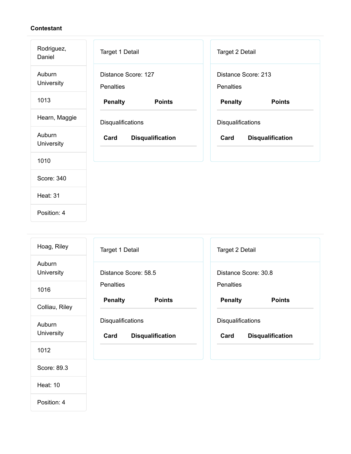Heat: 10

| Rodriguez,<br>Daniel | Target 1 Detail                         | Target 2 Detail                  |
|----------------------|-----------------------------------------|----------------------------------|
| Auburn<br>University | Distance Score: 127<br><b>Penalties</b> | Distance Score: 213<br>Penalties |
| 1013                 | <b>Penalty</b><br><b>Points</b>         | <b>Penalty</b><br><b>Points</b>  |
| Hearn, Maggie        | Disqualifications                       | Disqualifications                |
| Auburn<br>University | Card<br><b>Disqualification</b>         | <b>Disqualification</b><br>Card  |
| 1010                 |                                         |                                  |
| Score: 340           |                                         |                                  |
| <b>Heat: 31</b>      |                                         |                                  |
| Position: 4          |                                         |                                  |

| Hoag, Riley                 | Target 1 Detail                                             | Target 2 Detail                                             |
|-----------------------------|-------------------------------------------------------------|-------------------------------------------------------------|
| Auburn<br>University        | Distance Score: 58.5                                        | Distance Score: 30.8                                        |
| 1016                        | <b>Penalties</b>                                            | <b>Penalties</b>                                            |
| Colliau, Riley              | <b>Penalty</b><br><b>Points</b>                             | <b>Penalty</b><br><b>Points</b>                             |
| <b>Auburn</b><br>University | <b>Disqualifications</b><br>Card<br><b>Disqualification</b> | <b>Disqualifications</b><br><b>Disqualification</b><br>Card |
| 1012                        |                                                             |                                                             |
| Score: 89.3                 |                                                             |                                                             |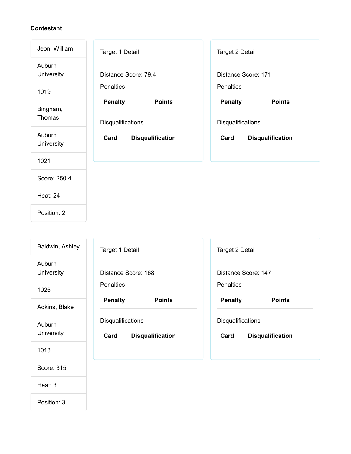| Jeon, William        | Target 1 Detail                                      | Target 2 Detail                                      |
|----------------------|------------------------------------------------------|------------------------------------------------------|
| Auburn<br>University | Distance Score: 79.4                                 | Distance Score: 171                                  |
| 1019                 | <b>Penalties</b>                                     | Penalties                                            |
| Bingham,<br>Thomas   | <b>Penalty</b><br><b>Points</b>                      | <b>Penalty</b><br><b>Points</b>                      |
| Auburn<br>University | Disqualifications<br>Card<br><b>Disqualification</b> | Disqualifications<br>Card<br><b>Disqualification</b> |
| 1021                 |                                                      |                                                      |
| Score: 250.4         |                                                      |                                                      |
| <b>Heat: 24</b>      |                                                      |                                                      |
| Position: 2          |                                                      |                                                      |

| Baldwin, Ashley      | <b>Target 1 Detail</b>                               | Target 2 Detail                                      |
|----------------------|------------------------------------------------------|------------------------------------------------------|
| Auburn<br>University | Distance Score: 168                                  | Distance Score: 147                                  |
| 1026                 | <b>Penalties</b>                                     | <b>Penalties</b>                                     |
| Adkins, Blake        | <b>Penalty</b><br><b>Points</b>                      | <b>Penalty</b><br><b>Points</b>                      |
| Auburn<br>University | Disqualifications<br>Card<br><b>Disqualification</b> | Disqualifications<br>Card<br><b>Disqualification</b> |
| 1018                 |                                                      |                                                      |
| Score: 315           |                                                      |                                                      |
| Heat: 3              |                                                      |                                                      |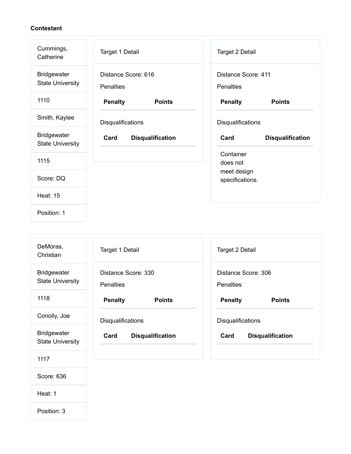| Cummings,<br>Catherine                        | Target 1 Detail                         | Target 2 Detail                         |
|-----------------------------------------------|-----------------------------------------|-----------------------------------------|
| <b>Bridgewater</b><br><b>State University</b> | Distance Score: 616<br><b>Penalties</b> | Distance Score: 411<br><b>Penalties</b> |
| 1110                                          | <b>Penalty</b><br><b>Points</b>         | <b>Penalty</b><br><b>Points</b>         |
| Smith, Kaylee                                 | Disqualifications                       | Disqualifications                       |
| <b>Bridgewater</b><br><b>State University</b> | Card<br><b>Disqualification</b>         | Card<br><b>Disqualification</b>         |
|                                               |                                         |                                         |
| 1115                                          |                                         | Container<br>does not                   |
| Score: DQ                                     |                                         | meet design<br>specifications.          |
| <b>Heat: 15</b>                               |                                         |                                         |

| DeMoras,<br>Christian                         | Target 1 Detail                         | Target 2 Detail                         |
|-----------------------------------------------|-----------------------------------------|-----------------------------------------|
| <b>Bridgewater</b><br><b>State University</b> | Distance Score: 330<br><b>Penalties</b> | Distance Score: 306<br><b>Penalties</b> |
| 1118                                          | <b>Penalty</b><br><b>Points</b>         | <b>Penalty</b><br><b>Points</b>         |
| Conolly, Joe                                  | <b>Disqualifications</b>                | Disqualifications                       |
| <b>Bridgewater</b><br><b>State University</b> | Card<br><b>Disqualification</b>         | Card<br><b>Disqualification</b>         |
| 1117                                          |                                         |                                         |

- Score: 636
- Heat: 1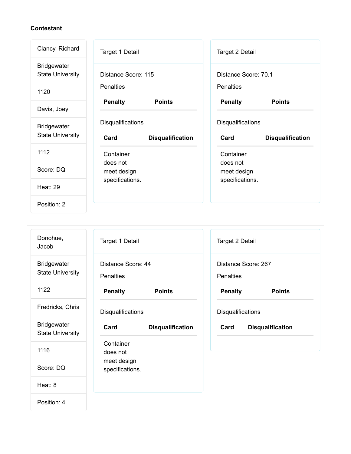| Clancy, Richard                               | Target 1 Detail                 | Target 2 Detail                 |
|-----------------------------------------------|---------------------------------|---------------------------------|
| <b>Bridgewater</b><br><b>State University</b> | Distance Score: 115             | Distance Score: 70.1            |
| 1120                                          | <b>Penalties</b>                | <b>Penalties</b>                |
| Davis, Joey                                   | <b>Penalty</b><br><b>Points</b> | <b>Penalty</b><br><b>Points</b> |
| <b>Bridgewater</b>                            | Disqualifications               | Disqualifications               |
| <b>State University</b>                       | Card<br><b>Disqualification</b> | Card<br><b>Disqualification</b> |
| 1112                                          | Container                       | Container                       |
| Score: DQ                                     | does not<br>meet design         | does not<br>meet design         |
| <b>Heat: 29</b>                               | specifications.                 | specifications.                 |
| Position: 2                                   |                                 |                                 |

| Donohue,<br>Jacob                             | Target 1 Detail                        | Target 2 Detail                         |
|-----------------------------------------------|----------------------------------------|-----------------------------------------|
| <b>Bridgewater</b><br><b>State University</b> | Distance Score: 44<br><b>Penalties</b> | Distance Score: 267<br><b>Penalties</b> |
| 1122                                          | <b>Penalty</b><br><b>Points</b>        | <b>Penalty</b><br><b>Points</b>         |
| Fredricks, Chris                              | Disqualifications                      | Disqualifications                       |
| <b>Bridgewater</b><br><b>State University</b> | Card<br><b>Disqualification</b>        | Card<br><b>Disqualification</b>         |
| 1116                                          | Container<br>does not                  |                                         |
| Score: DQ                                     | meet design<br>specifications.         |                                         |
| Heat: 8                                       |                                        |                                         |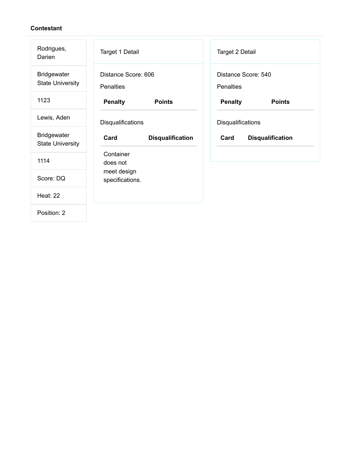| Rodrigues,<br>Darien                          | Target 1 Detail                         | Target 2 Detail                         |
|-----------------------------------------------|-----------------------------------------|-----------------------------------------|
| <b>Bridgewater</b><br><b>State University</b> | Distance Score: 606<br><b>Penalties</b> | Distance Score: 540<br><b>Penalties</b> |
| 1123                                          | <b>Penalty</b><br><b>Points</b>         | <b>Penalty</b><br><b>Points</b>         |
| Lewis, Aden                                   | Disqualifications                       | Disqualifications                       |
|                                               |                                         |                                         |
| <b>Bridgewater</b><br><b>State University</b> | Card<br><b>Disqualification</b>         | Card<br><b>Disqualification</b>         |
| 1114                                          | Container<br>does not                   |                                         |
| Score: DQ                                     | meet design<br>specifications.          |                                         |
| <b>Heat: 22</b>                               |                                         |                                         |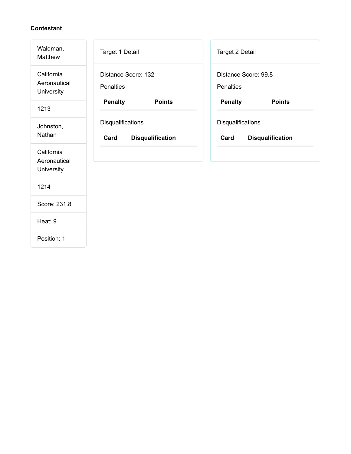| Waldman,<br><b>Matthew</b>               | Target 1 Detail                                      | Target 2 Detail                                      |
|------------------------------------------|------------------------------------------------------|------------------------------------------------------|
| California<br>Aeronautical<br>University | Distance Score: 132<br><b>Penalties</b>              | Distance Score: 99.8<br>Penalties                    |
| 1213                                     | <b>Penalty</b><br><b>Points</b>                      | <b>Penalty</b><br><b>Points</b>                      |
| Johnston,<br>Nathan                      | Disqualifications<br>Card<br><b>Disqualification</b> | Disqualifications<br><b>Disqualification</b><br>Card |
| California<br>Aeronautical<br>University |                                                      |                                                      |
| 1214                                     |                                                      |                                                      |
| Score: 231.8                             |                                                      |                                                      |
| Heat: 9                                  |                                                      |                                                      |
| Position: 1                              |                                                      |                                                      |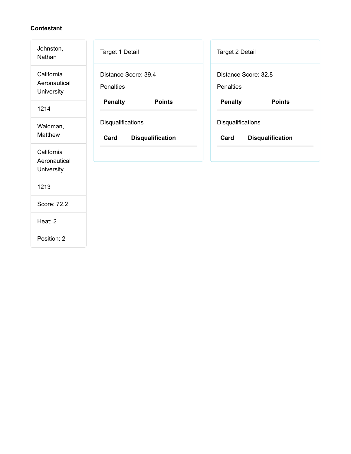| Johnston,<br>Nathan                      | Target 1 Detail                                      | Target 2 Detail                                      |
|------------------------------------------|------------------------------------------------------|------------------------------------------------------|
| California<br>Aeronautical<br>University | Distance Score: 39.4<br><b>Penalties</b>             | Distance Score: 32.8<br>Penalties                    |
| 1214                                     | <b>Penalty</b><br><b>Points</b>                      | <b>Penalty</b><br><b>Points</b>                      |
| Waldman,<br>Matthew                      | Disqualifications<br>Card<br><b>Disqualification</b> | Disqualifications<br>Card<br><b>Disqualification</b> |
| California<br>Aeronautical<br>University |                                                      |                                                      |
| 1213                                     |                                                      |                                                      |
| Score: 72.2                              |                                                      |                                                      |
| Heat: 2                                  |                                                      |                                                      |
| Position: 2                              |                                                      |                                                      |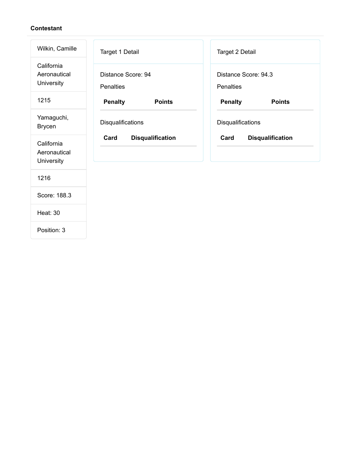| Wilkin, Camille                          | Target 1 Detail                        | Target 2 Detail                   |
|------------------------------------------|----------------------------------------|-----------------------------------|
| California<br>Aeronautical<br>University | Distance Score: 94<br><b>Penalties</b> | Distance Score: 94.3<br>Penalties |
| 1215                                     | <b>Penalty</b><br><b>Points</b>        | <b>Penalty</b><br><b>Points</b>   |
| Yamaguchi,<br><b>Brycen</b>              | Disqualifications                      | Disqualifications                 |
| California<br>Aeronautical<br>University | Card<br><b>Disqualification</b>        | Card<br><b>Disqualification</b>   |
| 1216                                     |                                        |                                   |
| Score: 188.3                             |                                        |                                   |
| <b>Heat: 30</b>                          |                                        |                                   |
| Position: 3                              |                                        |                                   |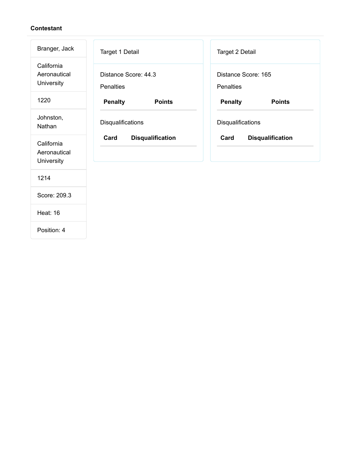| Branger, Jack                            | Target 1 Detail                          | Target 2 Detail                  |
|------------------------------------------|------------------------------------------|----------------------------------|
| California<br>Aeronautical<br>University | Distance Score: 44.3<br><b>Penalties</b> | Distance Score: 165<br>Penalties |
| 1220                                     | <b>Penalty</b><br><b>Points</b>          | <b>Penalty</b><br><b>Points</b>  |
| Johnston,<br>Nathan                      | Disqualifications                        | Disqualifications                |
| California<br>Aeronautical<br>University | Card<br><b>Disqualification</b>          | <b>Disqualification</b><br>Card  |
| 1214                                     |                                          |                                  |
| Score: 209.3                             |                                          |                                  |
| <b>Heat: 16</b>                          |                                          |                                  |
| Position: 4                              |                                          |                                  |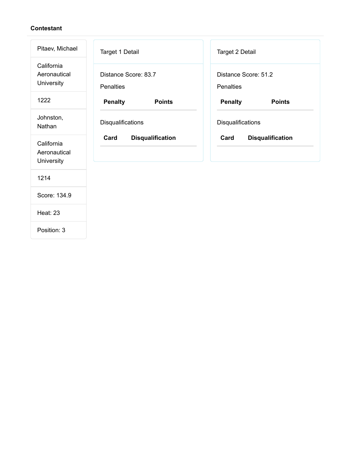| Pitaev, Michael                          | Target 1 Detail                          | Target 2 Detail                   |
|------------------------------------------|------------------------------------------|-----------------------------------|
| California<br>Aeronautical<br>University | Distance Score: 83.7<br><b>Penalties</b> | Distance Score: 51.2<br>Penalties |
| 1222                                     | <b>Penalty</b><br><b>Points</b>          | <b>Penalty</b><br><b>Points</b>   |
| Johnston,<br>Nathan                      | Disqualifications                        | Disqualifications                 |
| California<br>Aeronautical<br>University | Card<br><b>Disqualification</b>          | Card<br><b>Disqualification</b>   |
| 1214                                     |                                          |                                   |
| Score: 134.9                             |                                          |                                   |
| <b>Heat: 23</b>                          |                                          |                                   |
| Position: 3                              |                                          |                                   |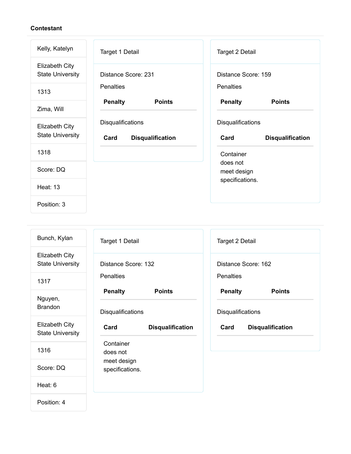| Kelly, Katelyn                                   | Target 1 Detail                                      | Target 2 Detail                                      |
|--------------------------------------------------|------------------------------------------------------|------------------------------------------------------|
| <b>Elizabeth City</b><br><b>State University</b> | Distance Score: 231                                  | Distance Score: 159                                  |
| 1313                                             | <b>Penalties</b>                                     | <b>Penalties</b>                                     |
| Zima, Will                                       | <b>Penalty</b><br><b>Points</b>                      | <b>Penalty</b><br><b>Points</b>                      |
| <b>Elizabeth City</b><br><b>State University</b> | Disqualifications<br>Card<br><b>Disqualification</b> | Disqualifications<br>Card<br><b>Disqualification</b> |
| 1318                                             |                                                      | Container                                            |
| Score: DQ                                        |                                                      | does not<br>meet design                              |
| <b>Heat: 13</b>                                  |                                                      | specifications.                                      |
| Position: 3                                      |                                                      |                                                      |

| Bunch, Kylan                                     | Target 1 Detail                 | Target 2 Detail                 |
|--------------------------------------------------|---------------------------------|---------------------------------|
| <b>Elizabeth City</b><br><b>State University</b> | Distance Score: 132             | Distance Score: 162             |
| 1317                                             | <b>Penalties</b>                | Penalties                       |
| Nguyen,                                          | <b>Penalty</b><br><b>Points</b> | <b>Penalty</b><br><b>Points</b> |
| <b>Brandon</b>                                   | Disqualifications               | Disqualifications               |
| <b>Elizabeth City</b><br><b>State University</b> | Card<br><b>Disqualification</b> | Card<br><b>Disqualification</b> |
| 1316                                             | Container<br>does not           |                                 |
| Score: DQ                                        | meet design<br>specifications.  |                                 |
| Heat: 6                                          |                                 |                                 |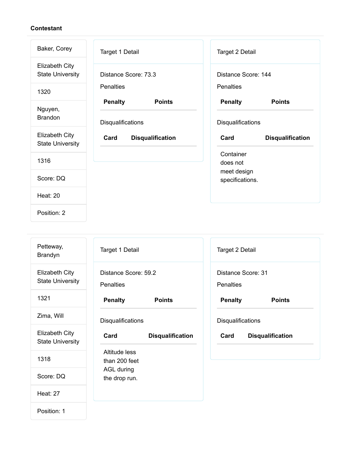| Baker, Corey                              | Target 1 Detail                                      | Target 2 Detail                                      |
|-------------------------------------------|------------------------------------------------------|------------------------------------------------------|
| Elizabeth City<br><b>State University</b> | Distance Score: 73.3                                 | Distance Score: 144                                  |
| 1320                                      | <b>Penalties</b>                                     | <b>Penalties</b>                                     |
| Nguyen,<br><b>Brandon</b>                 | <b>Penalty</b><br><b>Points</b><br>Disqualifications | <b>Penalty</b><br><b>Points</b><br>Disqualifications |
|                                           |                                                      |                                                      |
| Elizabeth City<br><b>State University</b> | Card<br><b>Disqualification</b>                      | Card<br><b>Disqualification</b>                      |
| 1316                                      |                                                      | Container<br>does not                                |
| Score: DQ                                 |                                                      | meet design<br>specifications.                       |
| <b>Heat: 20</b>                           |                                                      |                                                      |

| Petteway,<br><b>Brandyn</b>                      | Target 1 Detail                          |                         | Target 2 Detail                        |                         |
|--------------------------------------------------|------------------------------------------|-------------------------|----------------------------------------|-------------------------|
| <b>Elizabeth City</b><br><b>State University</b> | Distance Score: 59.2<br><b>Penalties</b> |                         | Distance Score: 31<br><b>Penalties</b> |                         |
| 1321                                             | <b>Penalty</b>                           | <b>Points</b>           | <b>Penalty</b>                         | <b>Points</b>           |
| Zima, Will                                       | <b>Disqualifications</b>                 |                         | Disqualifications                      |                         |
| <b>Elizabeth City</b><br><b>State University</b> | Card                                     | <b>Disqualification</b> | Card                                   | <b>Disqualification</b> |
| 1318                                             | Altitude less<br>than 200 feet           |                         |                                        |                         |
| Score: DQ                                        | AGL during<br>the drop run.              |                         |                                        |                         |
| <b>Heat: 27</b>                                  |                                          |                         |                                        |                         |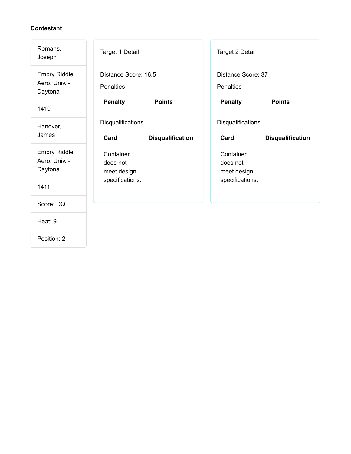| Romans,<br>Joseph                               | Target 1 Detail                          |                         | <b>Target 2 Detail</b>                 |                         |
|-------------------------------------------------|------------------------------------------|-------------------------|----------------------------------------|-------------------------|
| <b>Embry Riddle</b><br>Aero. Univ. -<br>Daytona | Distance Score: 16.5<br><b>Penalties</b> |                         | Distance Score: 37<br><b>Penalties</b> |                         |
| 1410                                            | <b>Penalty</b>                           | <b>Points</b>           | <b>Penalty</b>                         | <b>Points</b>           |
| Hanover,<br>James                               | <b>Disqualifications</b><br>Card         | <b>Disqualification</b> | Disqualifications<br>Card              | <b>Disqualification</b> |
| <b>Embry Riddle</b><br>Aero. Univ. -<br>Daytona | Container<br>does not<br>meet design     |                         | Container<br>does not<br>meet design   |                         |
| 1411                                            | specifications.                          |                         | specifications.                        |                         |
| Score: DQ                                       |                                          |                         |                                        |                         |
| Heat: 9                                         |                                          |                         |                                        |                         |
| Position: 2                                     |                                          |                         |                                        |                         |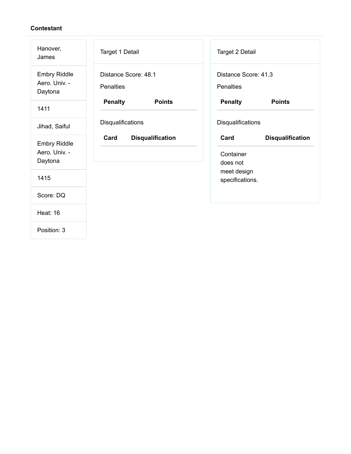| Hanover,<br>James                               | Target 1 Detail                          | Target 2 Detail                                          |
|-------------------------------------------------|------------------------------------------|----------------------------------------------------------|
| <b>Embry Riddle</b><br>Aero. Univ. -<br>Daytona | Distance Score: 48.1<br><b>Penalties</b> | Distance Score: 41.3<br><b>Penalties</b>                 |
| 1411                                            | <b>Penalty</b><br><b>Points</b>          | <b>Penalty</b><br><b>Points</b>                          |
| Jihad, Saiful                                   | Disqualifications                        | <b>Disqualifications</b>                                 |
| <b>Embry Riddle</b><br>Aero. Univ. -<br>Daytona | Card<br><b>Disqualification</b>          | Card<br><b>Disqualification</b><br>Container<br>does not |
| 1415                                            |                                          | meet design<br>specifications.                           |
| Score: DQ                                       |                                          |                                                          |
| <b>Heat: 16</b>                                 |                                          |                                                          |
| Position: 3                                     |                                          |                                                          |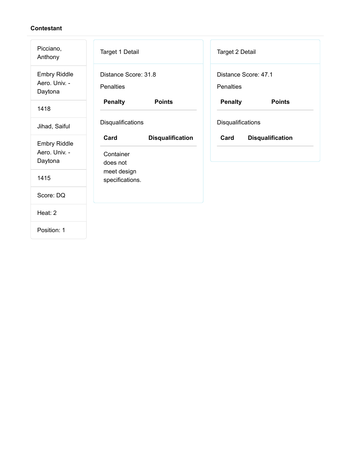| Picciano,<br>Anthony                            | Target 1 Detail                                          | Target 2 Detail                   |  |
|-------------------------------------------------|----------------------------------------------------------|-----------------------------------|--|
| <b>Embry Riddle</b><br>Aero. Univ. -<br>Daytona | Distance Score: 31.8<br><b>Penalties</b>                 | Distance Score: 47.1<br>Penalties |  |
| 1418                                            | <b>Penalty</b><br><b>Points</b>                          | <b>Penalty</b><br><b>Points</b>   |  |
| Jihad, Saiful                                   | Disqualifications                                        | Disqualifications                 |  |
| <b>Embry Riddle</b><br>Aero. Univ. -<br>Daytona | Card<br><b>Disqualification</b><br>Container<br>does not | Card<br><b>Disqualification</b>   |  |
| 1415                                            | meet design<br>specifications.                           |                                   |  |
| Score: DQ                                       |                                                          |                                   |  |
| Heat: 2                                         |                                                          |                                   |  |
| Position: 1                                     |                                                          |                                   |  |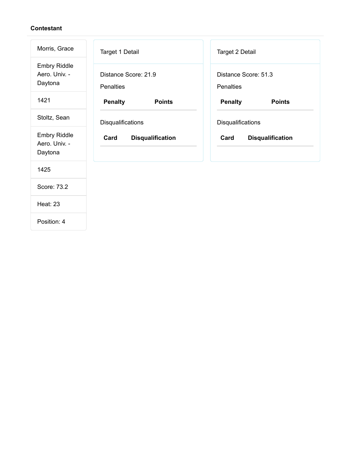| Morris, Grace                                   | Target 1 Detail                          | Target 2 Detail                   |
|-------------------------------------------------|------------------------------------------|-----------------------------------|
| <b>Embry Riddle</b><br>Aero. Univ. -<br>Daytona | Distance Score: 21.9<br><b>Penalties</b> | Distance Score: 51.3<br>Penalties |
| 1421                                            | <b>Penalty</b><br><b>Points</b>          | <b>Penalty</b><br><b>Points</b>   |
| Stoltz, Sean                                    | Disqualifications                        | Disqualifications                 |
| <b>Embry Riddle</b><br>Aero. Univ. -<br>Daytona | Card<br><b>Disqualification</b>          | Card<br><b>Disqualification</b>   |
| 1425                                            |                                          |                                   |
| Score: 73.2                                     |                                          |                                   |
| <b>Heat: 23</b>                                 |                                          |                                   |
| Position: 4                                     |                                          |                                   |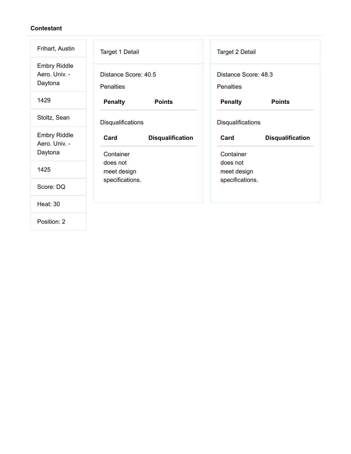| Frihart, Austin                                 | Target 1 Detail                              | Target 2 Detail                              |
|-------------------------------------------------|----------------------------------------------|----------------------------------------------|
| <b>Embry Riddle</b><br>Aero. Univ. -<br>Daytona | Distance Score: 40.5<br><b>Penalties</b>     | Distance Score: 48.3<br><b>Penalties</b>     |
| 1429                                            | <b>Penalty</b><br><b>Points</b>              | <b>Penalty</b><br><b>Points</b>              |
| Stoltz, Sean                                    | Disqualifications                            | Disqualifications                            |
| <b>Embry Riddle</b><br>Aero. Univ. -<br>Daytona | Card<br><b>Disqualification</b><br>Container | Card<br><b>Disqualification</b><br>Container |
| 1425                                            | does not<br>meet design                      | does not<br>meet design                      |
| Score: DQ                                       | specifications.                              | specifications.                              |
| <b>Heat: 30</b>                                 |                                              |                                              |
| Position: 2                                     |                                              |                                              |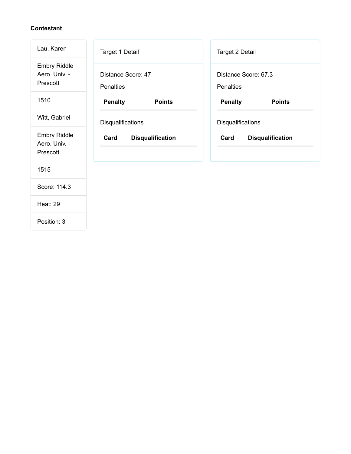| Lau, Karen                                       | Target 1 Detail                        | Target 2 Detail                   |
|--------------------------------------------------|----------------------------------------|-----------------------------------|
| <b>Embry Riddle</b><br>Aero. Univ. -<br>Prescott | Distance Score: 47<br><b>Penalties</b> | Distance Score: 67.3<br>Penalties |
| 1510                                             | <b>Penalty</b><br><b>Points</b>        | <b>Penalty</b><br><b>Points</b>   |
| Witt, Gabriel                                    | Disqualifications                      | Disqualifications                 |
| <b>Embry Riddle</b><br>Aero. Univ. -<br>Prescott | Card<br><b>Disqualification</b>        | Card<br><b>Disqualification</b>   |
| 1515                                             |                                        |                                   |
| Score: 114.3                                     |                                        |                                   |
| <b>Heat: 29</b>                                  |                                        |                                   |
| Position: 3                                      |                                        |                                   |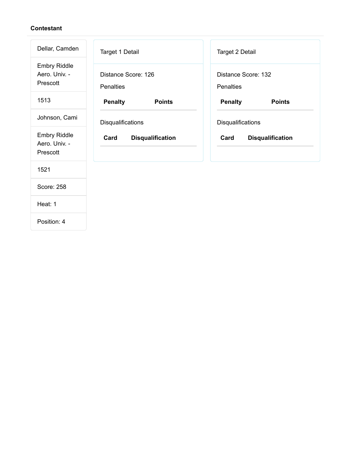| Dellar, Camden                                   | Target 1 Detail                         | Target 2 Detail                  |
|--------------------------------------------------|-----------------------------------------|----------------------------------|
| <b>Embry Riddle</b><br>Aero. Univ. -<br>Prescott | Distance Score: 126<br><b>Penalties</b> | Distance Score: 132<br>Penalties |
| 1513                                             | <b>Penalty</b><br><b>Points</b>         | <b>Penalty</b><br><b>Points</b>  |
| Johnson, Cami                                    | Disqualifications                       | Disqualifications                |
| <b>Embry Riddle</b><br>Aero. Univ. -<br>Prescott | Card<br><b>Disqualification</b>         | Card<br><b>Disqualification</b>  |
| 1521                                             |                                         |                                  |
| Score: 258                                       |                                         |                                  |
| Heat: 1                                          |                                         |                                  |
|                                                  |                                         |                                  |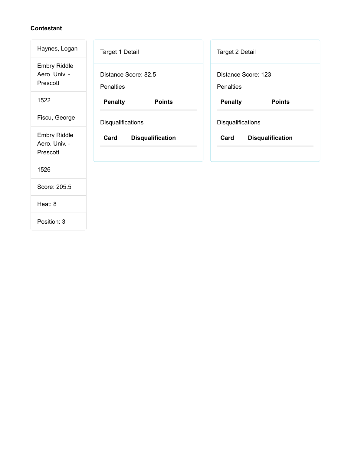| Haynes, Logan                                    | Target 1 Detail                          | Target 2 Detail                  |  |
|--------------------------------------------------|------------------------------------------|----------------------------------|--|
| <b>Embry Riddle</b><br>Aero. Univ. -<br>Prescott | Distance Score: 82.5<br><b>Penalties</b> | Distance Score: 123<br>Penalties |  |
| 1522                                             | <b>Penalty</b><br><b>Points</b>          | <b>Penalty</b><br><b>Points</b>  |  |
| Fiscu, George                                    | Disqualifications                        | Disqualifications                |  |
| <b>Embry Riddle</b><br>Aero. Univ. -<br>Prescott | <b>Disqualification</b><br>Card          | Card<br><b>Disqualification</b>  |  |
| 1526                                             |                                          |                                  |  |
| Score: 205.5                                     |                                          |                                  |  |
| Heat: 8                                          |                                          |                                  |  |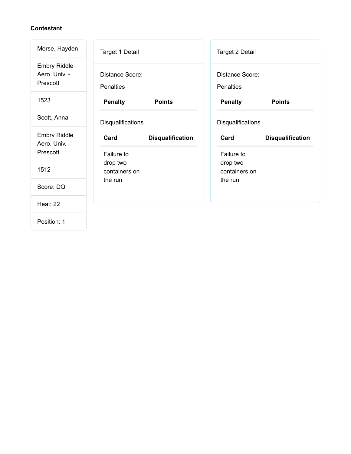| Morse, Hayden                                    | <b>Target 1 Detail</b>               |                           | Target 2 Detail                     |                         |
|--------------------------------------------------|--------------------------------------|---------------------------|-------------------------------------|-------------------------|
| <b>Embry Riddle</b><br>Aero. Univ. -<br>Prescott | Distance Score:<br><b>Penalties</b>  |                           | Distance Score:<br><b>Penalties</b> |                         |
| 1523                                             | <b>Penalty</b>                       | <b>Points</b>             | <b>Penalty</b>                      | <b>Points</b>           |
| Scott, Anna                                      | Disqualifications                    |                           | Disqualifications                   |                         |
| <b>Embry Riddle</b><br>Aero. Univ. -<br>Prescott | Card<br>Failure to                   | <b>Disqualification</b>   | Card<br>Failure to                  | <b>Disqualification</b> |
| 1512                                             | drop two<br>containers on<br>the run | drop two<br>containers on |                                     |                         |
| Score: DQ                                        |                                      | the run                   |                                     |                         |
| <b>Heat: 22</b>                                  |                                      |                           |                                     |                         |
|                                                  |                                      |                           |                                     |                         |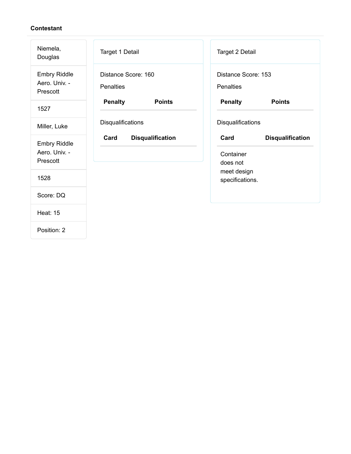| Niemela,<br>Douglas                              | Target 1 Detail                         | Target 2 Detail                                          |
|--------------------------------------------------|-----------------------------------------|----------------------------------------------------------|
| <b>Embry Riddle</b><br>Aero. Univ. -<br>Prescott | Distance Score: 160<br><b>Penalties</b> | Distance Score: 153<br>Penalties                         |
| 1527                                             | <b>Penalty</b><br><b>Points</b>         | <b>Penalty</b><br><b>Points</b>                          |
| Miller, Luke                                     | Disqualifications                       | Disqualifications                                        |
| <b>Embry Riddle</b><br>Aero. Univ. -<br>Prescott | Card<br><b>Disqualification</b>         | Card<br><b>Disqualification</b><br>Container<br>does not |
| 1528                                             |                                         | meet design<br>specifications.                           |
| Score: DQ                                        |                                         |                                                          |
| <b>Heat: 15</b>                                  |                                         |                                                          |
| Position: 2                                      |                                         |                                                          |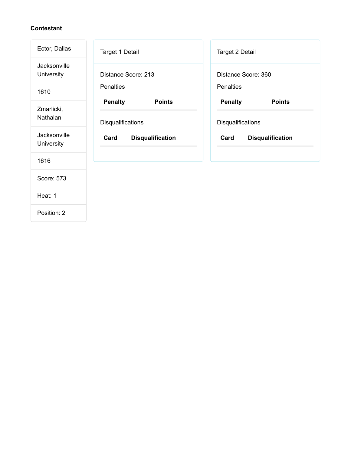| Ector, Dallas              | Target 1 Detail                                      | Target 2 Detail                                      |
|----------------------------|------------------------------------------------------|------------------------------------------------------|
| Jacksonville<br>University | Distance Score: 213                                  | Distance Score: 360                                  |
| 1610                       | <b>Penalties</b>                                     | <b>Penalties</b>                                     |
| Zmarlicki,<br>Nathalan     | <b>Penalty</b><br><b>Points</b><br>Disqualifications | <b>Penalty</b><br><b>Points</b><br>Disqualifications |
| Jacksonville<br>University | Card<br><b>Disqualification</b>                      | <b>Disqualification</b><br>Card                      |
| 1616                       |                                                      |                                                      |
| Score: 573                 |                                                      |                                                      |
| Heat: 1                    |                                                      |                                                      |
| Position: 2                |                                                      |                                                      |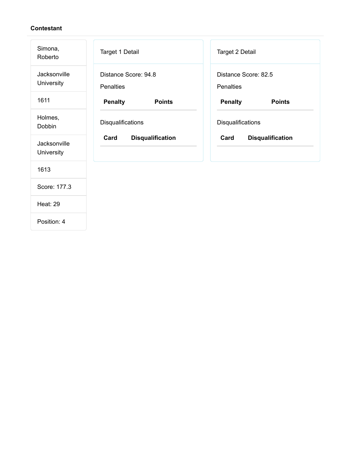| Simona,<br>Roberto         | Target 1 Detail                          | Target 2 Detail                   |
|----------------------------|------------------------------------------|-----------------------------------|
| Jacksonville<br>University | Distance Score: 94.8<br><b>Penalties</b> | Distance Score: 82.5<br>Penalties |
| 1611                       | <b>Penalty</b><br><b>Points</b>          | <b>Penalty</b><br><b>Points</b>   |
| Holmes,<br>Dobbin          | Disqualifications                        | Disqualifications                 |
| Jacksonville<br>University | <b>Disqualification</b><br>Card          | Card<br><b>Disqualification</b>   |
| 1613                       |                                          |                                   |
| Score: 177.3               |                                          |                                   |
| <b>Heat: 29</b>            |                                          |                                   |
|                            |                                          |                                   |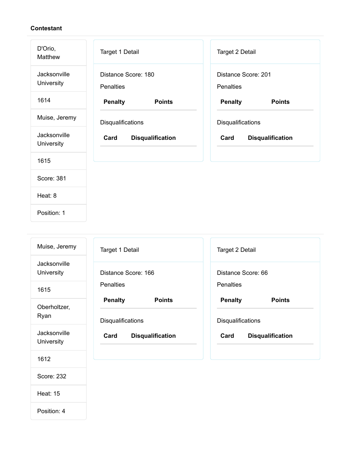| D'Orio,<br>Matthew         | Target 1 Detail                         | Target 2 Detail                  |
|----------------------------|-----------------------------------------|----------------------------------|
| Jacksonville<br>University | Distance Score: 180<br><b>Penalties</b> | Distance Score: 201<br>Penalties |
| 1614                       | <b>Penalty</b><br><b>Points</b>         | <b>Penalty</b><br><b>Points</b>  |
| Muise, Jeremy              | Disqualifications                       | Disqualifications                |
| Jacksonville<br>University | Card<br><b>Disqualification</b>         | Card<br><b>Disqualification</b>  |
| 1615                       |                                         |                                  |
| Score: 381                 |                                         |                                  |
| Heat: 8                    |                                         |                                  |
| Position: 1                |                                         |                                  |

| Muise, Jeremy              | Target 1 Detail                 | Target 2 Detail                 |
|----------------------------|---------------------------------|---------------------------------|
| Jacksonville<br>University | Distance Score: 166             | Distance Score: 66              |
| 1615                       | <b>Penalties</b>                | <b>Penalties</b>                |
| Oberholtzer,               | <b>Penalty</b><br><b>Points</b> | <b>Penalty</b><br><b>Points</b> |
| Ryan                       | Disqualifications               | Disqualifications               |
| Jacksonville<br>University | Card<br><b>Disqualification</b> | Card<br><b>Disqualification</b> |
| 1612                       |                                 |                                 |
| Score: 232                 |                                 |                                 |

Heat: 15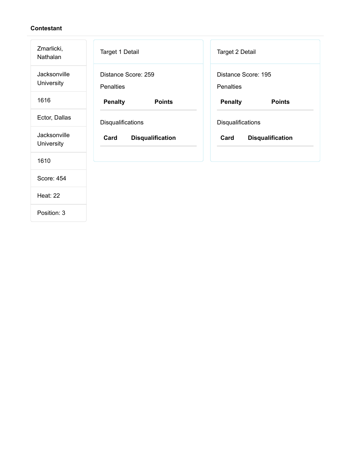| Zmarlicki,<br>Nathalan     | <b>Target 1 Detail</b>                  | Target 2 Detail                         |
|----------------------------|-----------------------------------------|-----------------------------------------|
| Jacksonville<br>University | Distance Score: 259<br><b>Penalties</b> | Distance Score: 195<br><b>Penalties</b> |
| 1616                       | <b>Penalty</b><br><b>Points</b>         | <b>Penalty</b><br><b>Points</b>         |
| Ector, Dallas              | Disqualifications                       | Disqualifications                       |
| Jacksonville<br>University | Card<br><b>Disqualification</b>         | Card<br><b>Disqualification</b>         |
| 1610                       |                                         |                                         |
| Score: 454                 |                                         |                                         |
| <b>Heat: 22</b>            |                                         |                                         |
| Position: 3                |                                         |                                         |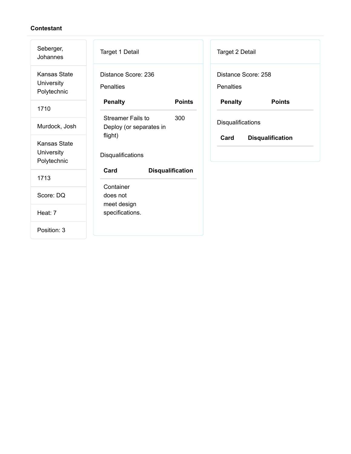| Seberger,<br>Johannes                            | Target 1 Detail                                            | Target 2 Detail                         |
|--------------------------------------------------|------------------------------------------------------------|-----------------------------------------|
| <b>Kansas State</b><br>University<br>Polytechnic | Distance Score: 236<br><b>Penalties</b>                    | Distance Score: 258<br><b>Penalties</b> |
| 1710                                             | <b>Penalty</b><br><b>Points</b>                            | <b>Penalty</b><br><b>Points</b>         |
| Murdock, Josh                                    | <b>Streamer Fails to</b><br>300<br>Deploy (or separates in | Disqualifications                       |
| <b>Kansas State</b><br>University<br>Polytechnic | flight)<br>Disqualifications                               | Card<br><b>Disqualification</b>         |
| 1713                                             | Card<br><b>Disqualification</b>                            |                                         |
| Score: DQ                                        | Container<br>does not<br>meet design                       |                                         |
| Heat: 7                                          | specifications.                                            |                                         |
| Position: 3                                      |                                                            |                                         |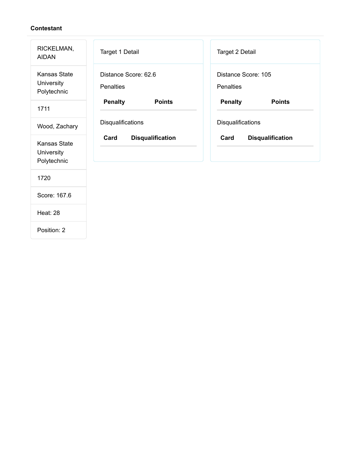| RICKELMAN,<br><b>AIDAN</b>                       | Target 1 Detail                          | Target 2 Detail                         |
|--------------------------------------------------|------------------------------------------|-----------------------------------------|
| <b>Kansas State</b><br>University<br>Polytechnic | Distance Score: 62.6<br><b>Penalties</b> | Distance Score: 105<br><b>Penalties</b> |
| 1711                                             | <b>Penalty</b><br><b>Points</b>          | <b>Penalty</b><br><b>Points</b>         |
| Wood, Zachary                                    | Disqualifications                        | Disqualifications                       |
| <b>Kansas State</b><br>University<br>Polytechnic | Card<br><b>Disqualification</b>          | Card<br><b>Disqualification</b>         |
| 1720                                             |                                          |                                         |
| Score: 167.6                                     |                                          |                                         |
| <b>Heat: 28</b>                                  |                                          |                                         |
| Position: 2                                      |                                          |                                         |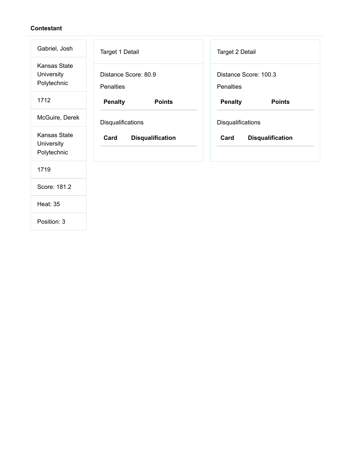| Gabriel, Josh                                    | Target 1 Detail                          | <b>Target 2 Detail</b>             |
|--------------------------------------------------|------------------------------------------|------------------------------------|
| <b>Kansas State</b><br>University<br>Polytechnic | Distance Score: 80.9<br><b>Penalties</b> | Distance Score: 100.3<br>Penalties |
| 1712                                             | <b>Penalty</b><br><b>Points</b>          | <b>Penalty</b><br><b>Points</b>    |
| McGuire, Derek                                   | Disqualifications                        | Disqualifications                  |
| <b>Kansas State</b><br>University<br>Polytechnic | Card<br><b>Disqualification</b>          | Card<br><b>Disqualification</b>    |
| 1719                                             |                                          |                                    |
| Score: 181.2                                     |                                          |                                    |
| <b>Heat: 35</b>                                  |                                          |                                    |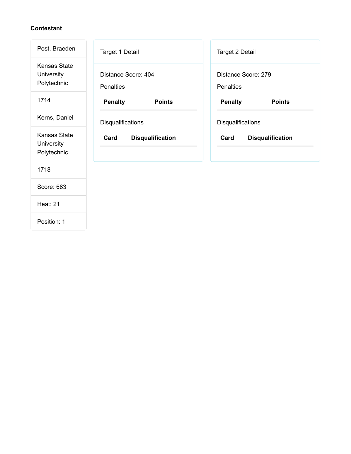| Post, Braeden                                    | Target 1 Detail                         | Target 2 Detail                         |
|--------------------------------------------------|-----------------------------------------|-----------------------------------------|
| <b>Kansas State</b><br>University<br>Polytechnic | Distance Score: 404<br><b>Penalties</b> | Distance Score: 279<br><b>Penalties</b> |
| 1714                                             | <b>Penalty</b><br><b>Points</b>         | <b>Penalty</b><br><b>Points</b>         |
| Kerns, Daniel                                    | Disqualifications                       | Disqualifications                       |
| <b>Kansas State</b><br>University<br>Polytechnic | <b>Disqualification</b><br>Card         | Card<br><b>Disqualification</b>         |
| 1718                                             |                                         |                                         |
| Score: 683                                       |                                         |                                         |
| <b>Heat: 21</b>                                  |                                         |                                         |
|                                                  |                                         |                                         |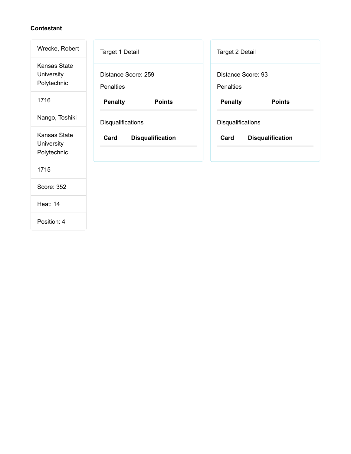| Wrecke, Robert                                   | Target 1 Detail                         | Target 2 Detail                        |
|--------------------------------------------------|-----------------------------------------|----------------------------------------|
| <b>Kansas State</b><br>University<br>Polytechnic | Distance Score: 259<br><b>Penalties</b> | Distance Score: 93<br><b>Penalties</b> |
| 1716                                             | <b>Penalty</b><br><b>Points</b>         | <b>Penalty</b><br><b>Points</b>        |
| Nango, Toshiki                                   | Disqualifications                       | Disqualifications                      |
| <b>Kansas State</b><br>University<br>Polytechnic | <b>Disqualification</b><br>Card         | Card<br><b>Disqualification</b>        |
| 1715                                             |                                         |                                        |
| Score: 352                                       |                                         |                                        |
| <b>Heat: 14</b>                                  |                                         |                                        |
|                                                  |                                         |                                        |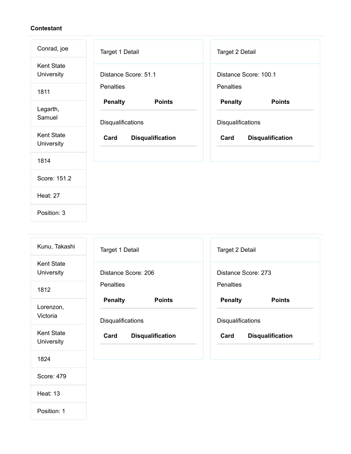| Conrad, joe                     | Target 1 Detail                 | Target 2 Detail                 |
|---------------------------------|---------------------------------|---------------------------------|
| <b>Kent State</b><br>University | Distance Score: 51.1            | Distance Score: 100.1           |
| 1811                            | <b>Penalties</b>                | Penalties                       |
| Legarth,                        | <b>Penalty</b><br><b>Points</b> | <b>Penalty</b><br><b>Points</b> |
| Samuel                          | Disqualifications               | Disqualifications               |
| <b>Kent State</b><br>University | Card<br><b>Disqualification</b> | <b>Disqualification</b><br>Card |
| 1814                            |                                 |                                 |
| Score: 151.2                    |                                 |                                 |
| <b>Heat: 27</b>                 |                                 |                                 |
|                                 |                                 |                                 |

| Kunu, Takashi                   | <b>Target 1 Detail</b>          | Target 2 Detail                 |
|---------------------------------|---------------------------------|---------------------------------|
| <b>Kent State</b><br>University | Distance Score: 206             | Distance Score: 273             |
| 1812                            | <b>Penalties</b>                | <b>Penalties</b>                |
| Lorenzon,                       | <b>Penalty</b><br><b>Points</b> | <b>Penalty</b><br><b>Points</b> |
| Victoria                        | <b>Disqualifications</b>        | Disqualifications               |
| <b>Kent State</b><br>University | Card<br><b>Disqualification</b> | <b>Disqualification</b><br>Card |
| 1824                            |                                 |                                 |
| Score: 479                      |                                 |                                 |

Heat: 13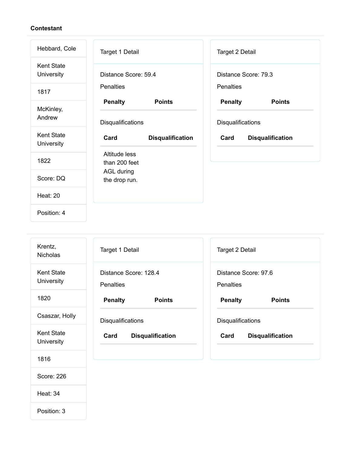| Hebbard, Cole                   | Target 1 Detail                                      | Target 2 Detail                                      |
|---------------------------------|------------------------------------------------------|------------------------------------------------------|
| <b>Kent State</b><br>University | Distance Score: 59.4                                 | Distance Score: 79.3                                 |
| 1817                            | Penalties                                            | Penalties                                            |
| McKinley,<br>Andrew             | <b>Penalty</b><br><b>Points</b><br>Disqualifications | <b>Penalty</b><br><b>Points</b><br>Disqualifications |
| <b>Kent State</b>               | Card                                                 | Card<br><b>Disqualification</b>                      |
| University                      | <b>Disqualification</b>                              |                                                      |
| 1822                            | Altitude less<br>than 200 feet                       |                                                      |
| Score: DQ                       | <b>AGL during</b><br>the drop run.                   |                                                      |
| <b>Heat: 20</b>                 |                                                      |                                                      |

| Krentz,<br><b>Nicholas</b>      | Target 1 Detail                           | Target 2 Detail                          |
|---------------------------------|-------------------------------------------|------------------------------------------|
| <b>Kent State</b><br>University | Distance Score: 128.4<br><b>Penalties</b> | Distance Score: 97.6<br><b>Penalties</b> |
| 1820                            | <b>Penalty</b><br><b>Points</b>           | <b>Penalty</b><br><b>Points</b>          |
| Csaszar, Holly                  | <b>Disqualifications</b>                  | <b>Disqualifications</b>                 |
| <b>Kent State</b><br>University | Card<br><b>Disqualification</b>           | Card<br><b>Disqualification</b>          |
| 1816                            |                                           |                                          |
| Score: 226                      |                                           |                                          |

Heat: 34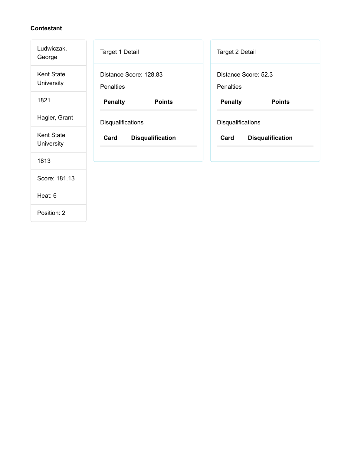| Ludwiczak,<br>George            | Target 1 Detail                            | Target 2 Detail                   |
|---------------------------------|--------------------------------------------|-----------------------------------|
| <b>Kent State</b><br>University | Distance Score: 128.83<br><b>Penalties</b> | Distance Score: 52.3<br>Penalties |
| 1821                            | <b>Penalty</b><br><b>Points</b>            | <b>Penalty</b><br><b>Points</b>   |
| Hagler, Grant                   | Disqualifications                          | Disqualifications                 |
| <b>Kent State</b><br>University | Card<br><b>Disqualification</b>            | Card<br><b>Disqualification</b>   |
| 1813                            |                                            |                                   |
| Score: 181.13                   |                                            |                                   |
|                                 |                                            |                                   |
| Heat: 6                         |                                            |                                   |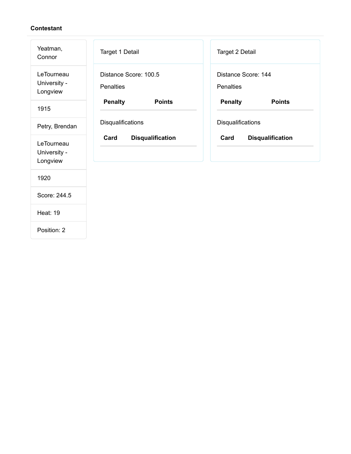| Yeatman,<br>Connor                     | Target 1 Detail                           | Target 2 Detail                         |
|----------------------------------------|-------------------------------------------|-----------------------------------------|
| LeTourneau<br>University -<br>Longview | Distance Score: 100.5<br><b>Penalties</b> | Distance Score: 144<br><b>Penalties</b> |
| 1915                                   | <b>Penalty</b><br><b>Points</b>           | <b>Penalty</b><br><b>Points</b>         |
| Petry, Brendan                         | Disqualifications                         | Disqualifications                       |
| LeTourneau<br>University -<br>Longview | Card<br><b>Disqualification</b>           | Card<br><b>Disqualification</b>         |
| 1920                                   |                                           |                                         |
| Score: 244.5                           |                                           |                                         |
| <b>Heat: 19</b>                        |                                           |                                         |
| Position: 2                            |                                           |                                         |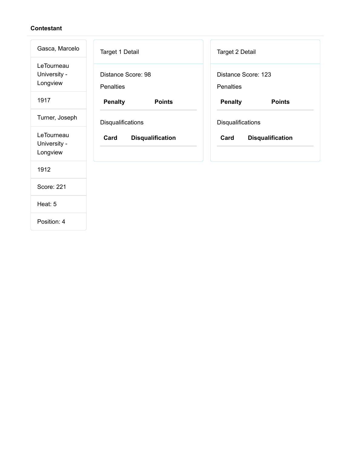| Gasca, Marcelo                         | Target 1 Detail                        | Target 2 Detail                                      |  |
|----------------------------------------|----------------------------------------|------------------------------------------------------|--|
| LeTourneau<br>University -<br>Longview | Distance Score: 98<br><b>Penalties</b> | Distance Score: 123<br><b>Penalties</b>              |  |
| 1917                                   | <b>Penalty</b><br><b>Points</b>        | <b>Penalty</b><br><b>Points</b>                      |  |
| Turner, Joseph                         | Disqualifications                      | Disqualifications<br>Card<br><b>Disqualification</b> |  |
| LeTourneau<br>University -<br>Longview | Card<br><b>Disqualification</b>        |                                                      |  |
| 1912                                   |                                        |                                                      |  |
| <b>Score: 221</b>                      |                                        |                                                      |  |
| Heat: 5                                |                                        |                                                      |  |
|                                        |                                        |                                                      |  |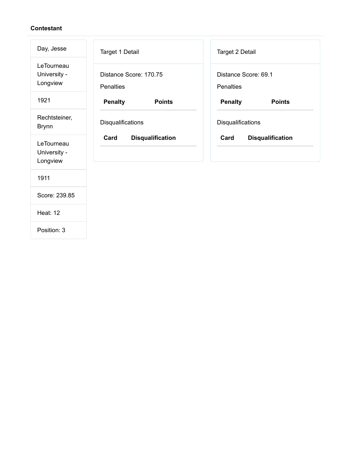| Day, Jesse                             | Target 1 Detail                            | <b>Target 2 Detail</b>            |  |
|----------------------------------------|--------------------------------------------|-----------------------------------|--|
| LeTourneau<br>University -<br>Longview | Distance Score: 170.75<br><b>Penalties</b> | Distance Score: 69.1<br>Penalties |  |
| 1921                                   | <b>Penalty</b><br><b>Points</b>            | <b>Penalty</b><br><b>Points</b>   |  |
| Rechtsteiner,<br><b>Brynn</b>          | Disqualifications                          | Disqualifications                 |  |
| LeTourneau<br>University -<br>Longview | <b>Disqualification</b><br>Card            | <b>Disqualification</b><br>Card   |  |
| 1911                                   |                                            |                                   |  |
| Score: 239.85                          |                                            |                                   |  |
| <b>Heat: 12</b>                        |                                            |                                   |  |
| Position: 3                            |                                            |                                   |  |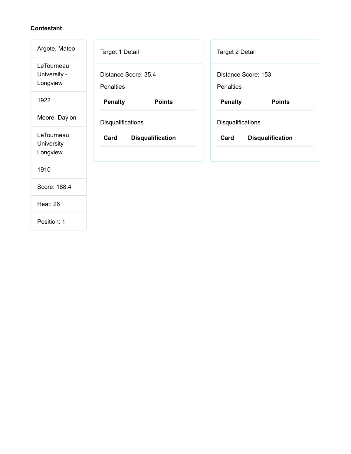| Argote, Mateo                          | Target 1 Detail                          | <b>Target 2 Detail</b>                               |  |
|----------------------------------------|------------------------------------------|------------------------------------------------------|--|
| LeTourneau<br>University -<br>Longview | Distance Score: 35.4<br><b>Penalties</b> | Distance Score: 153<br><b>Penalties</b>              |  |
| 1922                                   | <b>Penalty</b><br><b>Points</b>          | <b>Penalty</b><br><b>Points</b>                      |  |
| Moore, Daylon                          | Disqualifications                        | Disqualifications<br>Card<br><b>Disqualification</b> |  |
| LeTourneau<br>University -<br>Longview | Card<br><b>Disqualification</b>          |                                                      |  |
| 1910                                   |                                          |                                                      |  |
| Score: 188.4                           |                                          |                                                      |  |
| <b>Heat: 26</b>                        |                                          |                                                      |  |
|                                        |                                          |                                                      |  |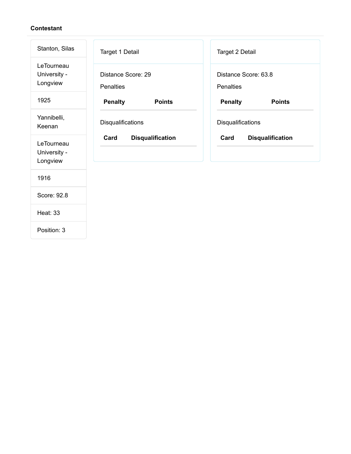| Stanton, Silas                         | Target 1 Detail                        | Target 2 Detail                          |  |
|----------------------------------------|----------------------------------------|------------------------------------------|--|
| LeTourneau<br>University -<br>Longview | Distance Score: 29<br><b>Penalties</b> | Distance Score: 63.8<br><b>Penalties</b> |  |
| 1925                                   | <b>Penalty</b><br><b>Points</b>        | <b>Penalty</b><br><b>Points</b>          |  |
| Yannibelli,<br>Keenan                  | Disqualifications                      | Disqualifications                        |  |
| LeTourneau<br>University -<br>Longview | Card<br><b>Disqualification</b>        | Card<br><b>Disqualification</b>          |  |
| 1916                                   |                                        |                                          |  |
| Score: 92.8                            |                                        |                                          |  |
| <b>Heat: 33</b>                        |                                        |                                          |  |
| Position: 3                            |                                        |                                          |  |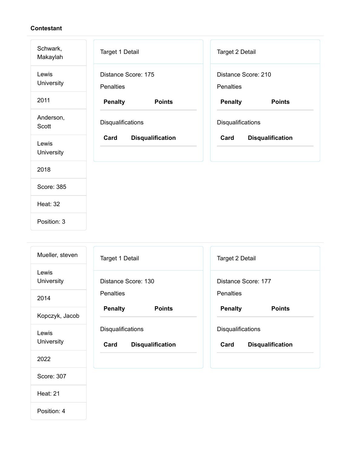| Schwark,<br>Makaylah | Target 1 Detail                         | Target 2 Detail                         |  |  |
|----------------------|-----------------------------------------|-----------------------------------------|--|--|
| Lewis<br>University  | Distance Score: 175<br><b>Penalties</b> | Distance Score: 210<br><b>Penalties</b> |  |  |
| 2011                 | <b>Penalty</b><br><b>Points</b>         | <b>Penalty</b><br><b>Points</b>         |  |  |
| Anderson,<br>Scott   | Disqualifications                       | Disqualifications                       |  |  |
| Lewis<br>University  | Card<br><b>Disqualification</b>         | <b>Disqualification</b><br>Card         |  |  |
| 2018                 |                                         |                                         |  |  |
| Score: 385           |                                         |                                         |  |  |
| <b>Heat: 32</b>      |                                         |                                         |  |  |
| Position: 3          |                                         |                                         |  |  |

| Mueller, steven     | Target 1 Detail                                      | Target 2 Detail<br>Distance Score: 177<br><b>Penalties</b> |  |
|---------------------|------------------------------------------------------|------------------------------------------------------------|--|
| Lewis<br>University | Distance Score: 130                                  |                                                            |  |
| 2014                | <b>Penalties</b>                                     |                                                            |  |
| Kopczyk, Jacob      | <b>Penalty</b><br><b>Points</b>                      | <b>Penalty</b><br><b>Points</b>                            |  |
| Lewis<br>University | Disqualifications<br>Card<br><b>Disqualification</b> | Disqualifications<br>Card<br><b>Disqualification</b>       |  |
| 2022                |                                                      |                                                            |  |
| Score: 307          |                                                      |                                                            |  |
| <b>Heat: 21</b>     |                                                      |                                                            |  |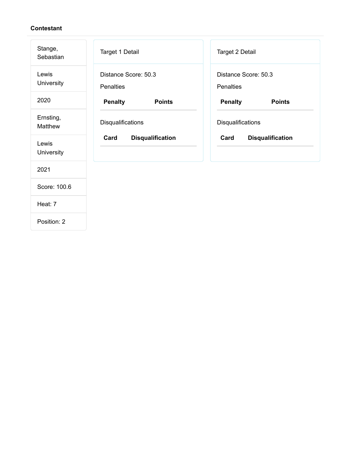| Stange,<br>Sebastian | Target 1 Detail                          | Target 2 Detail                          |  |  |
|----------------------|------------------------------------------|------------------------------------------|--|--|
| Lewis<br>University  | Distance Score: 50.3<br><b>Penalties</b> | Distance Score: 50.3<br><b>Penalties</b> |  |  |
| 2020                 | <b>Penalty</b><br><b>Points</b>          | <b>Penalty</b><br><b>Points</b>          |  |  |
| Ernsting,<br>Matthew | Disqualifications                        | Disqualifications                        |  |  |
| Lewis<br>University  | <b>Disqualification</b><br>Card          | Card<br><b>Disqualification</b>          |  |  |
| 2021                 |                                          |                                          |  |  |
| Score: 100.6         |                                          |                                          |  |  |
| Heat: 7              |                                          |                                          |  |  |
| Position: 2          |                                          |                                          |  |  |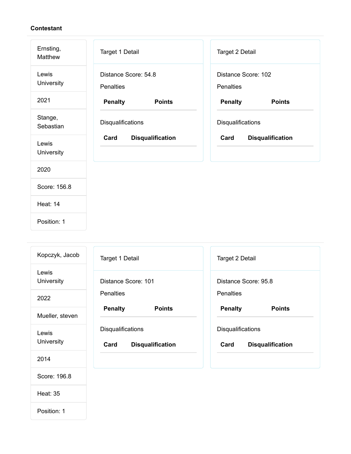| Ernsting,<br>Matthew | Target 1 Detail                          | Target 2 Detail                         |  |  |
|----------------------|------------------------------------------|-----------------------------------------|--|--|
| Lewis<br>University  | Distance Score: 54.8<br><b>Penalties</b> | Distance Score: 102<br><b>Penalties</b> |  |  |
| 2021                 | <b>Penalty</b><br><b>Points</b>          | <b>Penalty</b><br><b>Points</b>         |  |  |
| Stange,<br>Sebastian | Disqualifications                        | Disqualifications                       |  |  |
| Lewis<br>University  | Card<br><b>Disqualification</b>          | <b>Disqualification</b><br>Card         |  |  |
| 2020                 |                                          |                                         |  |  |
| Score: 156.8         |                                          |                                         |  |  |
| <b>Heat: 14</b>      |                                          |                                         |  |  |
| Position: 1          |                                          |                                         |  |  |

| Kopczyk, Jacob      | Target 1 Detail                                      | Target 2 Detail<br>Distance Score: 95.8<br><b>Penalties</b> |  |
|---------------------|------------------------------------------------------|-------------------------------------------------------------|--|
| Lewis<br>University | Distance Score: 101                                  |                                                             |  |
| 2022                | <b>Penalties</b>                                     |                                                             |  |
| Mueller, steven     | <b>Penalty</b><br><b>Points</b>                      | <b>Points</b><br><b>Penalty</b>                             |  |
| Lewis<br>University | Disqualifications<br>Card<br><b>Disqualification</b> | Disqualifications<br>Card<br><b>Disqualification</b>        |  |
| 2014                |                                                      |                                                             |  |
| Score: 196.8        |                                                      |                                                             |  |
| <b>Heat: 35</b>     |                                                      |                                                             |  |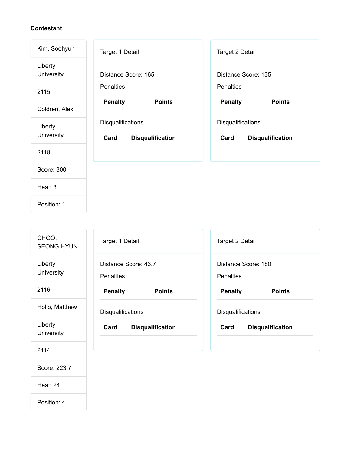| Kim, Soohyun          | Target 1 Detail                                      | <b>Target 2 Detail</b><br>Distance Score: 135<br><b>Penalties</b> |  |
|-----------------------|------------------------------------------------------|-------------------------------------------------------------------|--|
| Liberty<br>University | Distance Score: 165                                  |                                                                   |  |
| 2115                  | <b>Penalties</b>                                     |                                                                   |  |
| Coldren, Alex         | <b>Penalty</b><br><b>Points</b>                      | <b>Penalty</b><br><b>Points</b>                                   |  |
| Liberty<br>University | Disqualifications<br><b>Disqualification</b><br>Card | Disqualifications<br><b>Disqualification</b><br>Card              |  |
| 2118                  |                                                      |                                                                   |  |
| Score: 300            |                                                      |                                                                   |  |
| Heat: 3               |                                                      |                                                                   |  |
| Position: 1           |                                                      |                                                                   |  |

| CHOO,<br><b>SEONG HYUN</b> | Target 1 Detail                          | Target 2 Detail                         |  |  |
|----------------------------|------------------------------------------|-----------------------------------------|--|--|
| Liberty<br>University      | Distance Score: 43.7<br><b>Penalties</b> | Distance Score: 180<br><b>Penalties</b> |  |  |
| 2116                       | <b>Penalty</b><br><b>Points</b>          | <b>Penalty</b><br><b>Points</b>         |  |  |
| Hollo, Matthew             | Disqualifications                        | Disqualifications                       |  |  |
| Liberty<br>University      | <b>Disqualification</b><br>Card          | Card<br><b>Disqualification</b>         |  |  |
| 2114                       |                                          |                                         |  |  |
| Score: 223.7               |                                          |                                         |  |  |

Heat: 24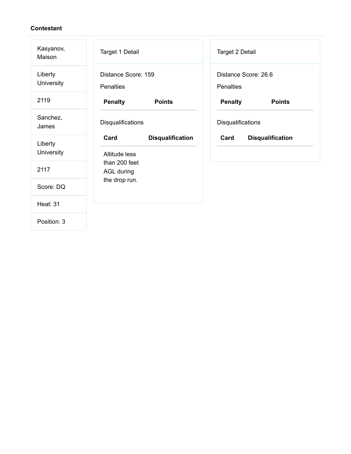| Kasyanov,<br>Maison   | Target 1 Detail                         |                         | Target 2 Detail                          |                         |
|-----------------------|-----------------------------------------|-------------------------|------------------------------------------|-------------------------|
| Liberty<br>University | Distance Score: 159<br><b>Penalties</b> |                         | Distance Score: 26.6<br><b>Penalties</b> |                         |
| 2119                  | <b>Penalty</b>                          | <b>Points</b>           | <b>Penalty</b>                           | <b>Points</b>           |
| Sanchez,<br>James     | Disqualifications                       |                         | Disqualifications                        |                         |
| Liberty               | Card                                    | <b>Disqualification</b> | Card                                     | <b>Disqualification</b> |
| University            | Altitude less                           |                         |                                          |                         |
| 2117                  | than 200 feet<br><b>AGL during</b>      |                         |                                          |                         |
| Score: DQ             | the drop run.                           |                         |                                          |                         |
| <b>Heat: 31</b>       |                                         |                         |                                          |                         |
| Position: 3           |                                         |                         |                                          |                         |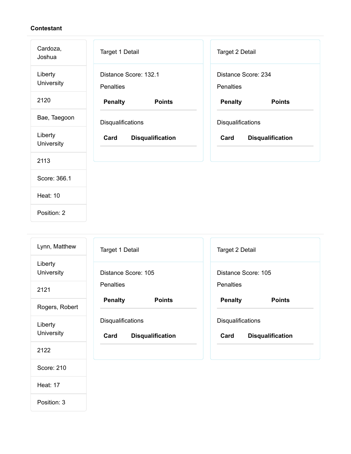| Cardoza,<br>Joshua    | Target 1 Detail                           | Target 2 Detail                         |
|-----------------------|-------------------------------------------|-----------------------------------------|
| Liberty<br>University | Distance Score: 132.1<br><b>Penalties</b> | Distance Score: 234<br><b>Penalties</b> |
| 2120                  | <b>Points</b><br><b>Penalty</b>           | <b>Penalty</b><br><b>Points</b>         |
| Bae, Taegoon          | Disqualifications                         | Disqualifications                       |
| Liberty<br>University | Card<br><b>Disqualification</b>           | Card<br><b>Disqualification</b>         |
| 2113                  |                                           |                                         |
| Score: 366.1          |                                           |                                         |
| <b>Heat: 10</b>       |                                           |                                         |
| Position: 2           |                                           |                                         |

| Lynn, Matthew         | Target 1 Detail                                             | <b>Target 2 Detail</b>                                      |
|-----------------------|-------------------------------------------------------------|-------------------------------------------------------------|
| Liberty<br>University | Distance Score: 105                                         | Distance Score: 105                                         |
| 2121                  | <b>Penalties</b>                                            | <b>Penalties</b>                                            |
| Rogers, Robert        | <b>Penalty</b><br><b>Points</b>                             | <b>Penalty</b><br><b>Points</b>                             |
| Liberty<br>University | <b>Disqualifications</b><br>Card<br><b>Disqualification</b> | <b>Disqualifications</b><br><b>Disqualification</b><br>Card |
| 2122                  |                                                             |                                                             |
| Score: 210            |                                                             |                                                             |

Heat: 17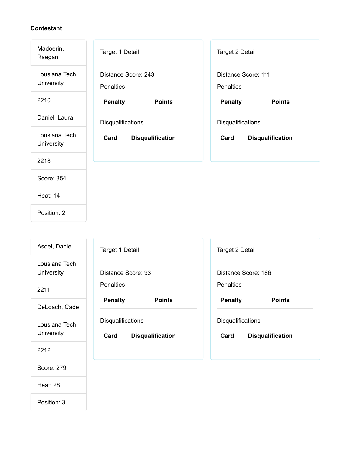| Madoerin,<br>Raegan         | Target 1 Detail                         | Target 2 Detail                         |
|-----------------------------|-----------------------------------------|-----------------------------------------|
| Lousiana Tech<br>University | Distance Score: 243<br><b>Penalties</b> | Distance Score: 111<br><b>Penalties</b> |
| 2210                        | <b>Penalty</b><br><b>Points</b>         | <b>Penalty</b><br><b>Points</b>         |
| Daniel, Laura               | Disqualifications                       | Disqualifications                       |
| Lousiana Tech<br>University | Card<br><b>Disqualification</b>         | Card<br><b>Disqualification</b>         |
| 2218                        |                                         |                                         |
| Score: 354                  |                                         |                                         |
| <b>Heat: 14</b>             |                                         |                                         |
| Position: 2                 |                                         |                                         |

| Asdel, Daniel               | Target 1 Detail                                             | Target 2 Detail                                             |
|-----------------------------|-------------------------------------------------------------|-------------------------------------------------------------|
| Lousiana Tech<br>University | Distance Score: 93                                          | Distance Score: 186                                         |
| 2211                        | <b>Penalties</b>                                            | <b>Penalties</b>                                            |
| DeLoach, Cade               | <b>Penalty</b><br><b>Points</b>                             | <b>Penalty</b><br><b>Points</b>                             |
| Lousiana Tech<br>University | <b>Disqualifications</b><br>Card<br><b>Disqualification</b> | <b>Disqualifications</b><br>Card<br><b>Disqualification</b> |
| 2212                        |                                                             |                                                             |
| Score: 279                  |                                                             |                                                             |

Heat: 28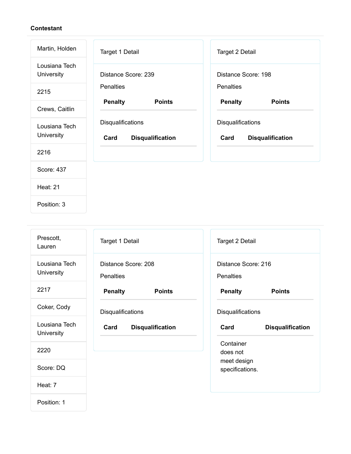| Martin, Holden              | Target 1 Detail                                      | Target 2 Detail                                      |
|-----------------------------|------------------------------------------------------|------------------------------------------------------|
| Lousiana Tech<br>University | Distance Score: 239                                  | Distance Score: 198                                  |
| 2215                        | <b>Penalties</b>                                     | <b>Penalties</b>                                     |
| Crews, Caitlin              | <b>Penalty</b><br><b>Points</b>                      | <b>Penalty</b><br><b>Points</b>                      |
| Lousiana Tech<br>University | Disqualifications<br>Card<br><b>Disqualification</b> | Disqualifications<br>Card<br><b>Disqualification</b> |
| 2216                        |                                                      |                                                      |
| Score: 437                  |                                                      |                                                      |
| <b>Heat: 21</b>             |                                                      |                                                      |

Position: 3

| Prescott,<br>Lauren         | Target 1 Detail                         | Target 2 Detail                         |
|-----------------------------|-----------------------------------------|-----------------------------------------|
| Lousiana Tech<br>University | Distance Score: 208<br><b>Penalties</b> | Distance Score: 216<br><b>Penalties</b> |
| 2217                        | <b>Penalty</b><br><b>Points</b>         | <b>Penalty</b><br><b>Points</b>         |
| Coker, Cody                 | Disqualifications                       | Disqualifications                       |
| Lousiana Tech<br>University | Card<br><b>Disqualification</b>         | Card<br><b>Disqualification</b>         |
| 2220                        |                                         | Container<br>does not                   |
| Score: DQ                   |                                         | meet design<br>specifications.          |
| Heat: 7                     |                                         |                                         |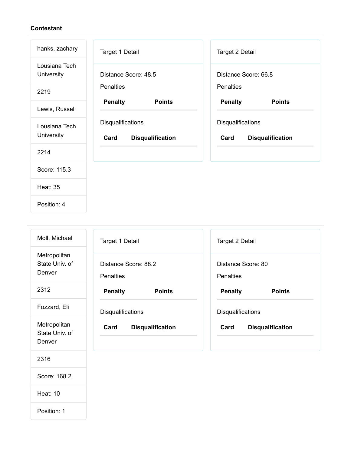Position: 4

| hanks, zachary              | <b>Target 1 Detail</b>                               | Target 2 Detail                                      |
|-----------------------------|------------------------------------------------------|------------------------------------------------------|
| Lousiana Tech<br>University | Distance Score: 48.5                                 | Distance Score: 66.8                                 |
| 2219                        | <b>Penalties</b>                                     | <b>Penalties</b>                                     |
| Lewis, Russell              | <b>Penalty</b><br><b>Points</b>                      | <b>Penalty</b><br><b>Points</b>                      |
| Lousiana Tech<br>University | Disqualifications<br><b>Disqualification</b><br>Card | Disqualifications<br><b>Disqualification</b><br>Card |
| 2214                        |                                                      |                                                      |
| Score: 115.3                |                                                      |                                                      |
| <b>Heat: 35</b>             |                                                      |                                                      |
|                             |                                                      |                                                      |

| Moll, Michael                            | <b>Target 1 Detail</b>                   | Target 2 Detail                        |
|------------------------------------------|------------------------------------------|----------------------------------------|
| Metropolitan<br>State Univ. of<br>Denver | Distance Score: 88.2<br><b>Penalties</b> | Distance Score: 80<br><b>Penalties</b> |
| 2312                                     | <b>Penalty</b><br><b>Points</b>          | <b>Penalty</b><br><b>Points</b>        |
| Fozzard, Eli                             | <b>Disqualifications</b>                 | Disqualifications                      |
| Metropolitan<br>State Univ. of<br>Denver | Card<br><b>Disqualification</b>          | Card<br><b>Disqualification</b>        |
| 2316                                     |                                          |                                        |
| Score: 168.2                             |                                          |                                        |
| <b>Heat: 10</b>                          |                                          |                                        |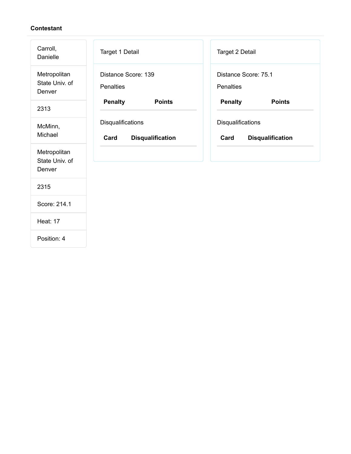| Carroll,<br>Danielle                     | Target 1 Detail                                      | Target 2 Detail                                      |
|------------------------------------------|------------------------------------------------------|------------------------------------------------------|
| Metropolitan<br>State Univ. of<br>Denver | Distance Score: 139<br><b>Penalties</b>              | Distance Score: 75.1<br>Penalties                    |
| 2313                                     | <b>Penalty</b><br><b>Points</b>                      | <b>Penalty</b><br><b>Points</b>                      |
| McMinn,<br>Michael                       | Disqualifications<br>Card<br><b>Disqualification</b> | Disqualifications<br>Card<br><b>Disqualification</b> |
| Metropolitan<br>State Univ. of<br>Denver |                                                      |                                                      |
| 2315                                     |                                                      |                                                      |
| Score: 214.1                             |                                                      |                                                      |
| <b>Heat: 17</b>                          |                                                      |                                                      |
| Position: 4                              |                                                      |                                                      |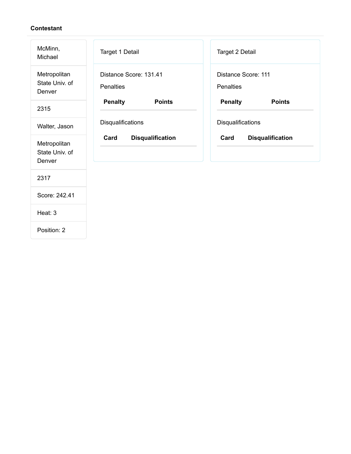| McMinn,<br>Michael                       | Target 1 Detail                            | Target 2 Detail                         |
|------------------------------------------|--------------------------------------------|-----------------------------------------|
| Metropolitan<br>State Univ. of<br>Denver | Distance Score: 131.41<br><b>Penalties</b> | Distance Score: 111<br><b>Penalties</b> |
| 2315                                     | <b>Penalty</b><br><b>Points</b>            | <b>Penalty</b><br><b>Points</b>         |
| Walter, Jason                            | Disqualifications                          | Disqualifications                       |
| Metropolitan<br>State Univ. of<br>Denver | <b>Disqualification</b><br>Card            | Card<br><b>Disqualification</b>         |
| 2317                                     |                                            |                                         |
| Score: 242.41                            |                                            |                                         |
| Heat: 3                                  |                                            |                                         |
| Position: 2                              |                                            |                                         |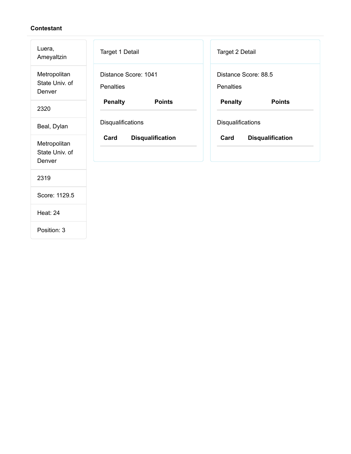| Luera,<br>Ameyaltzin                     | Target 1 Detail                          | Target 2 Detail                          |
|------------------------------------------|------------------------------------------|------------------------------------------|
| Metropolitan<br>State Univ. of<br>Denver | Distance Score: 1041<br><b>Penalties</b> | Distance Score: 88.5<br><b>Penalties</b> |
| 2320                                     | <b>Penalty</b><br><b>Points</b>          | <b>Penalty</b><br><b>Points</b>          |
| Beal, Dylan                              | Disqualifications                        | Disqualifications                        |
| Metropolitan<br>State Univ. of<br>Denver | Card<br><b>Disqualification</b>          | Card<br><b>Disqualification</b>          |
| 2319                                     |                                          |                                          |
| Score: 1129.5                            |                                          |                                          |
| <b>Heat: 24</b>                          |                                          |                                          |
| Position: 3                              |                                          |                                          |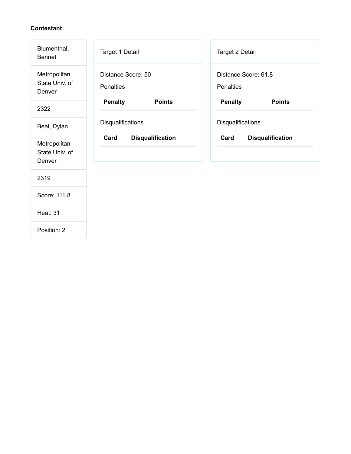| Blumenthal,<br><b>Bennet</b>             | Target 1 Detail                        | Target 2 Detail                   |
|------------------------------------------|----------------------------------------|-----------------------------------|
| Metropolitan<br>State Univ. of<br>Denver | Distance Score: 50<br><b>Penalties</b> | Distance Score: 61.8<br>Penalties |
| 2322                                     | <b>Penalty</b><br><b>Points</b>        | <b>Penalty</b><br><b>Points</b>   |
| Beal, Dylan                              | Disqualifications                      | Disqualifications                 |
| Metropolitan<br>State Univ. of<br>Denver | Card<br><b>Disqualification</b>        | Card<br><b>Disqualification</b>   |
| 2319                                     |                                        |                                   |
| Score: 111.8                             |                                        |                                   |
| <b>Heat: 31</b>                          |                                        |                                   |
| Position: 2                              |                                        |                                   |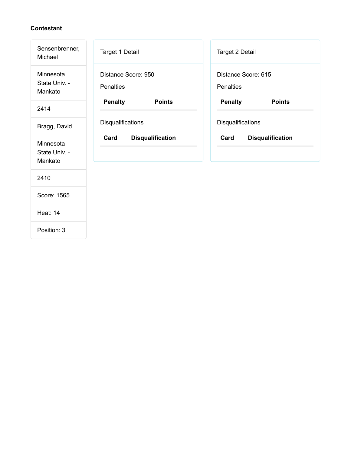| Sensenbrenner,<br>Michael             | <b>Target 1 Detail</b>                  | Target 2 Detail                         |
|---------------------------------------|-----------------------------------------|-----------------------------------------|
| Minnesota<br>State Univ. -<br>Mankato | Distance Score: 950<br><b>Penalties</b> | Distance Score: 615<br><b>Penalties</b> |
| 2414                                  | <b>Penalty</b><br><b>Points</b>         | <b>Penalty</b><br><b>Points</b>         |
| Bragg, David                          | Disqualifications                       | Disqualifications                       |
| Minnesota<br>State Univ. -<br>Mankato | Card<br><b>Disqualification</b>         | Card<br><b>Disqualification</b>         |
| 2410                                  |                                         |                                         |
| Score: 1565                           |                                         |                                         |
| <b>Heat: 14</b>                       |                                         |                                         |
| Position: 3                           |                                         |                                         |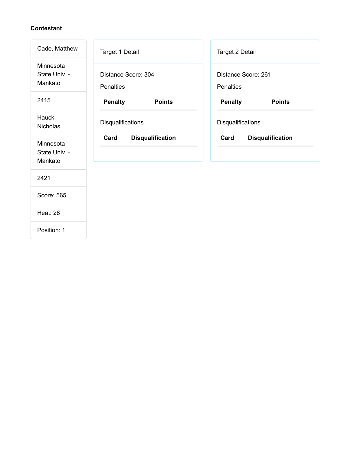| Cade, Matthew                         | Target 1 Detail                         | Target 2 Detail                         |
|---------------------------------------|-----------------------------------------|-----------------------------------------|
| Minnesota<br>State Univ. -<br>Mankato | Distance Score: 304<br><b>Penalties</b> | Distance Score: 261<br><b>Penalties</b> |
| 2415                                  | <b>Penalty</b><br><b>Points</b>         | <b>Penalty</b><br><b>Points</b>         |
| Hauck,<br><b>Nicholas</b>             | Disqualifications                       | Disqualifications                       |
| Minnesota<br>State Univ. -<br>Mankato | Card<br><b>Disqualification</b>         | Card<br><b>Disqualification</b>         |
| 2421                                  |                                         |                                         |
| Score: 565                            |                                         |                                         |
| <b>Heat: 28</b>                       |                                         |                                         |
| Position: 1                           |                                         |                                         |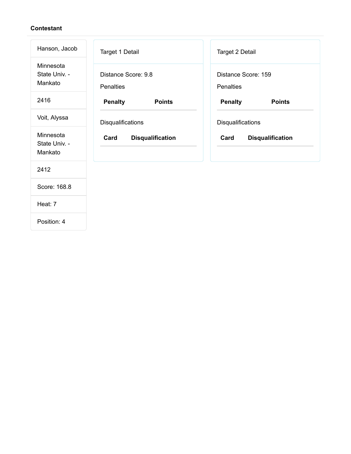| Hanson, Jacob                         | Target 1 Detail                         | <b>Target 2 Detail</b>                  |
|---------------------------------------|-----------------------------------------|-----------------------------------------|
| Minnesota<br>State Univ. -<br>Mankato | Distance Score: 9.8<br><b>Penalties</b> | Distance Score: 159<br><b>Penalties</b> |
| 2416                                  | <b>Penalty</b><br><b>Points</b>         | <b>Penalty</b><br><b>Points</b>         |
| Voit, Alyssa                          | Disqualifications                       | Disqualifications                       |
| Minnesota<br>State Univ. -<br>Mankato | Card<br><b>Disqualification</b>         | Card<br><b>Disqualification</b>         |
| 2412                                  |                                         |                                         |
| Score: 168.8                          |                                         |                                         |
| Heat: 7                               |                                         |                                         |
|                                       |                                         |                                         |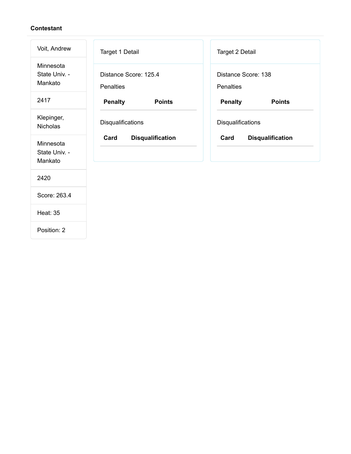| Voit, Andrew                          | Target 1 Detail                           | Target 2 Detail                         |
|---------------------------------------|-------------------------------------------|-----------------------------------------|
| Minnesota<br>State Univ. -<br>Mankato | Distance Score: 125.4<br><b>Penalties</b> | Distance Score: 138<br><b>Penalties</b> |
| 2417                                  | <b>Penalty</b><br><b>Points</b>           | <b>Penalty</b><br><b>Points</b>         |
| Klepinger,<br><b>Nicholas</b>         | Disqualifications                         | Disqualifications                       |
| Minnesota<br>State Univ. -<br>Mankato | Card<br><b>Disqualification</b>           | Card<br><b>Disqualification</b>         |
| 2420                                  |                                           |                                         |
| Score: 263.4                          |                                           |                                         |
| <b>Heat: 35</b>                       |                                           |                                         |
| Position: 2                           |                                           |                                         |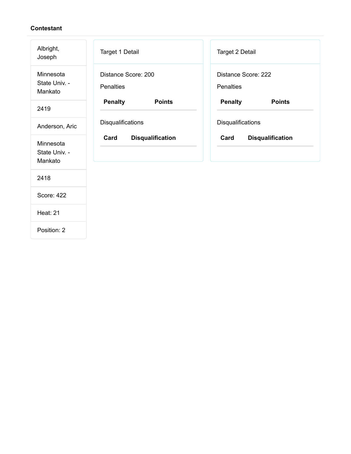| Albright,<br>Joseph                   | Target 1 Detail                         | Target 2 Detail                  |
|---------------------------------------|-----------------------------------------|----------------------------------|
| Minnesota<br>State Univ. -<br>Mankato | Distance Score: 200<br><b>Penalties</b> | Distance Score: 222<br>Penalties |
| 2419                                  | <b>Penalty</b><br><b>Points</b>         | <b>Penalty</b><br><b>Points</b>  |
| Anderson, Aric                        | Disqualifications                       | Disqualifications                |
| Minnesota<br>State Univ. -<br>Mankato | Card<br><b>Disqualification</b>         | <b>Disqualification</b><br>Card  |
| 2418                                  |                                         |                                  |
| Score: 422                            |                                         |                                  |
| <b>Heat: 21</b>                       |                                         |                                  |
| Position: 2                           |                                         |                                  |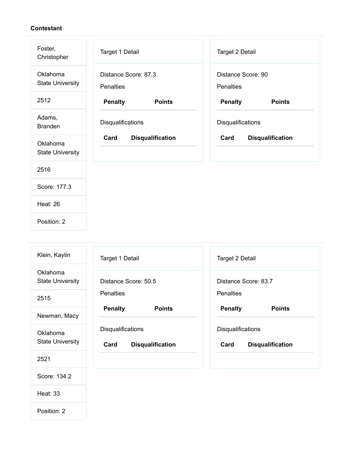| Foster,<br>Christopher              | Target 1 Detail                          | Target 2 Detail                 |
|-------------------------------------|------------------------------------------|---------------------------------|
| Oklahoma<br><b>State University</b> | Distance Score: 87.3<br><b>Penalties</b> | Distance Score: 90<br>Penalties |
| 2512                                | <b>Penalty</b><br><b>Points</b>          | <b>Penalty</b><br><b>Points</b> |
| Adams,<br><b>Branden</b>            | Disqualifications                        | Disqualifications               |
| Oklahoma<br><b>State University</b> | <b>Disqualification</b><br>Card          | <b>Disqualification</b><br>Card |
| 2516                                |                                          |                                 |
| Score: 177.3                        |                                          |                                 |
| <b>Heat: 26</b>                     |                                          |                                 |
| Position: 2                         |                                          |                                 |

| Klein, Kaylin                       | Target 1 Detail                                      | Target 2 Detail                                      |
|-------------------------------------|------------------------------------------------------|------------------------------------------------------|
| Oklahoma<br><b>State University</b> | Distance Score: 50.5                                 | Distance Score: 83.7                                 |
| 2515                                | <b>Penalties</b>                                     | <b>Penalties</b>                                     |
| Newman, Macy                        | <b>Penalty</b><br><b>Points</b>                      | <b>Penalty</b><br><b>Points</b>                      |
| Oklahoma<br><b>State University</b> | Disqualifications<br>Card<br><b>Disqualification</b> | Disqualifications<br>Card<br><b>Disqualification</b> |
| 2521                                |                                                      |                                                      |
| Score: 134.2                        |                                                      |                                                      |
| <b>Heat: 33</b>                     |                                                      |                                                      |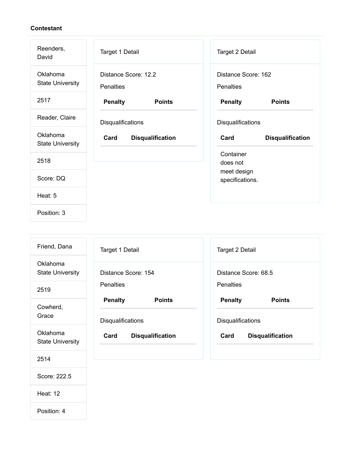| Reenders,<br>David                  | Target 1 Detail                          | Target 2 Detail                         |
|-------------------------------------|------------------------------------------|-----------------------------------------|
| Oklahoma<br><b>State University</b> | Distance Score: 12.2<br><b>Penalties</b> | Distance Score: 162<br><b>Penalties</b> |
| 2517                                | <b>Penalty</b><br><b>Points</b>          | <b>Penalty</b><br><b>Points</b>         |
| Reader, Claire                      | <b>Disqualifications</b>                 | Disqualifications                       |
|                                     |                                          |                                         |
| Oklahoma<br><b>State University</b> | <b>Disqualification</b><br>Card          | Card<br><b>Disqualification</b>         |
| 2518                                |                                          | Container<br>does not                   |
| Score: DQ                           |                                          | meet design<br>specifications.          |
| Heat: 5                             |                                          |                                         |

| Friend, Dana                        | Target 1 Detail                 | Target 2 Detail                 |
|-------------------------------------|---------------------------------|---------------------------------|
| Oklahoma<br><b>State University</b> | Distance Score: 154             | Distance Score: 68.5            |
| 2519                                | <b>Penalties</b>                | <b>Penalties</b>                |
| Cowherd,                            | <b>Penalty</b><br><b>Points</b> | <b>Penalty</b><br><b>Points</b> |
| Grace                               | <b>Disqualifications</b>        | <b>Disqualifications</b>        |
| Oklahoma<br><b>State University</b> | Card<br><b>Disqualification</b> | <b>Disqualification</b><br>Card |
| 2514                                |                                 |                                 |

- Score: 222.5
- Heat: 12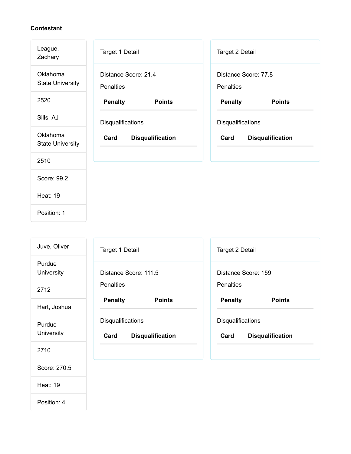| League,<br>Zachary                  | <b>Target 1 Detail</b>                   | Target 2 Detail                          |
|-------------------------------------|------------------------------------------|------------------------------------------|
| Oklahoma<br><b>State University</b> | Distance Score: 21.4<br><b>Penalties</b> | Distance Score: 77.8<br><b>Penalties</b> |
| 2520                                | <b>Penalty</b><br><b>Points</b>          | <b>Penalty</b><br><b>Points</b>          |
| Sills, AJ                           | Disqualifications                        | Disqualifications                        |
| Oklahoma<br><b>State University</b> | <b>Disqualification</b><br>Card          | <b>Disqualification</b><br>Card          |
| 2510                                |                                          |                                          |
| Score: 99.2                         |                                          |                                          |
| <b>Heat: 19</b>                     |                                          |                                          |
| Position: 1                         |                                          |                                          |

| Juve, Oliver         | <b>Target 1 Detail</b>                               | Target 2 Detail                                      |
|----------------------|------------------------------------------------------|------------------------------------------------------|
| Purdue<br>University | Distance Score: 111.5                                | Distance Score: 159                                  |
| 2712                 | <b>Penalties</b>                                     | <b>Penalties</b>                                     |
| Hart, Joshua         | <b>Penalty</b><br><b>Points</b>                      | <b>Penalty</b><br><b>Points</b>                      |
| Purdue<br>University | Disqualifications<br>Card<br><b>Disqualification</b> | Disqualifications<br>Card<br><b>Disqualification</b> |
| 2710                 |                                                      |                                                      |
| Score: 270.5         |                                                      |                                                      |

Heat: 19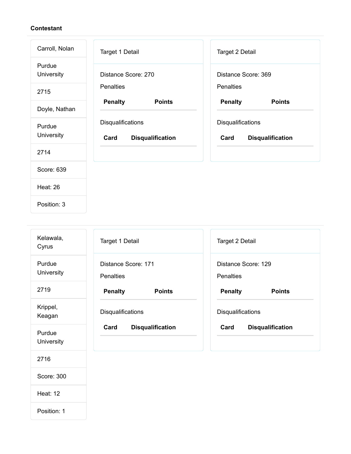| Carroll, Nolan       | Target 1 Detail                                      | Target 2 Detail                                      |
|----------------------|------------------------------------------------------|------------------------------------------------------|
| Purdue<br>University | Distance Score: 270                                  | Distance Score: 369                                  |
| 2715                 | <b>Penalties</b>                                     | <b>Penalties</b>                                     |
| Doyle, Nathan        | <b>Penalty</b><br><b>Points</b>                      | <b>Penalty</b><br><b>Points</b>                      |
| Purdue<br>University | Disqualifications<br>Card<br><b>Disqualification</b> | Disqualifications<br>Card<br><b>Disqualification</b> |
| 2714                 |                                                      |                                                      |
| Score: 639           |                                                      |                                                      |
| <b>Heat: 26</b>      |                                                      |                                                      |
| Position: 3          |                                                      |                                                      |

| Kelawala,<br>Cyrus   | Target 1 Detail                         | Target 2 Detail                         |
|----------------------|-----------------------------------------|-----------------------------------------|
| Purdue<br>University | Distance Score: 171<br><b>Penalties</b> | Distance Score: 129<br><b>Penalties</b> |
| 2719                 | <b>Penalty</b><br><b>Points</b>         | <b>Penalty</b><br><b>Points</b>         |
| Krippel,<br>Keagan   | Disqualifications                       | Disqualifications                       |
| Purdue<br>University | Card<br><b>Disqualification</b>         | Card<br><b>Disqualification</b>         |
| 2716                 |                                         |                                         |
| Score: 300           |                                         |                                         |
| <b>Heat: 12</b>      |                                         |                                         |
| Position: 1          |                                         |                                         |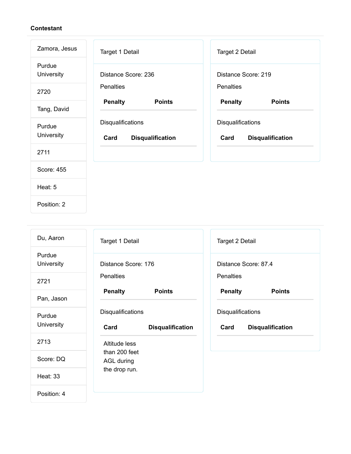| Zamora, Jesus               | Target 1 Detail                                      | Target 2 Detail                                      |
|-----------------------------|------------------------------------------------------|------------------------------------------------------|
| Purdue<br><b>University</b> | Distance Score: 236                                  | Distance Score: 219                                  |
| 2720                        | <b>Penalties</b>                                     | <b>Penalties</b>                                     |
| Tang, David                 | <b>Penalty</b><br><b>Points</b>                      | <b>Penalty</b><br><b>Points</b>                      |
| Purdue<br>University        | Disqualifications<br>Card<br><b>Disqualification</b> | Disqualifications<br>Card<br><b>Disqualification</b> |
| 2711                        |                                                      |                                                      |
| Score: 455                  |                                                      |                                                      |
| Heat: 5                     |                                                      |                                                      |
| Position: 2                 |                                                      |                                                      |

| Du, Aaron            | Target 1 Detail                                             | Target 2 Detail                                      |
|----------------------|-------------------------------------------------------------|------------------------------------------------------|
| Purdue<br>University | Distance Score: 176                                         | Distance Score: 87.4                                 |
| 2721                 | <b>Penalties</b>                                            | <b>Penalties</b>                                     |
| Pan, Jason           | <b>Penalty</b><br><b>Points</b>                             | <b>Penalty</b><br><b>Points</b>                      |
| Purdue<br>University | <b>Disqualifications</b><br>Card<br><b>Disqualification</b> | Disqualifications<br>Card<br><b>Disqualification</b> |
| 2713                 | Altitude less                                               |                                                      |
| Score: DQ            | than 200 feet<br>AGL during                                 |                                                      |
| <b>Heat: 33</b>      | the drop run.                                               |                                                      |
| Position: 4          |                                                             |                                                      |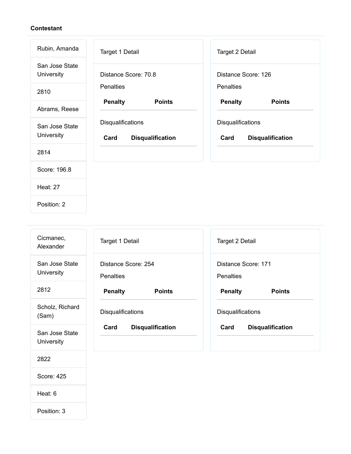Position: 2

| Rubin, Amanda                | Target 1 Detail                                      | Target 2 Detail                                      |
|------------------------------|------------------------------------------------------|------------------------------------------------------|
| San Jose State<br>University | Distance Score: 70.8                                 | Distance Score: 126                                  |
| 2810                         | <b>Penalties</b>                                     | <b>Penalties</b>                                     |
| Abrams, Reese                | <b>Penalty</b><br><b>Points</b>                      | <b>Penalty</b><br><b>Points</b>                      |
| San Jose State<br>University | Disqualifications<br>Card<br><b>Disqualification</b> | Disqualifications<br>Card<br><b>Disqualification</b> |
| 2814                         |                                                      |                                                      |
| Score: 196.8                 |                                                      |                                                      |
| <b>Heat: 27</b>              |                                                      |                                                      |
|                              |                                                      |                                                      |

| Cicmanec,<br>Alexander       | <b>Target 1 Detail</b>                  | Target 2 Detail                  |
|------------------------------|-----------------------------------------|----------------------------------|
| San Jose State<br>University | Distance Score: 254<br><b>Penalties</b> | Distance Score: 171<br>Penalties |
| 2812                         | <b>Penalty</b><br><b>Points</b>         | <b>Penalty</b><br><b>Points</b>  |
| Scholz, Richard<br>(Sam)     | Disqualifications                       | Disqualifications                |
| San Jose State<br>University | Card<br><b>Disqualification</b>         | Card<br><b>Disqualification</b>  |
| 2822                         |                                         |                                  |
| Score: 425                   |                                         |                                  |
| Heat: 6                      |                                         |                                  |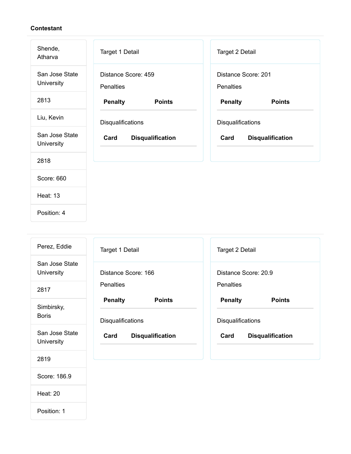| Shende,<br>Atharva           | Target 1 Detail                         | <b>Target 2 Detail</b>           |
|------------------------------|-----------------------------------------|----------------------------------|
| San Jose State<br>University | Distance Score: 459<br><b>Penalties</b> | Distance Score: 201<br>Penalties |
| 2813                         | <b>Penalty</b><br><b>Points</b>         | <b>Penalty</b><br><b>Points</b>  |
| Liu, Kevin                   | Disqualifications                       | Disqualifications                |
| San Jose State<br>University | Card<br><b>Disqualification</b>         | Card<br><b>Disqualification</b>  |
| 2818                         |                                         |                                  |
| Score: 660                   |                                         |                                  |
| <b>Heat: 13</b>              |                                         |                                  |
| Position: 4                  |                                         |                                  |

| Perez, Eddie                 | Target 1 Detail                 | <b>Target 2 Detail</b>          |
|------------------------------|---------------------------------|---------------------------------|
| San Jose State<br>University | Distance Score: 166             | Distance Score: 20.9            |
| 2817                         | <b>Penalties</b>                | <b>Penalties</b>                |
| Simbirsky,                   | <b>Penalty</b><br><b>Points</b> | <b>Penalty</b><br><b>Points</b> |
| <b>Boris</b>                 | Disqualifications               | Disqualifications               |
| San Jose State<br>University | Card<br><b>Disqualification</b> | Card<br><b>Disqualification</b> |
| 2819                         |                                 |                                 |
| Score: 186.9                 |                                 |                                 |

Heat: 20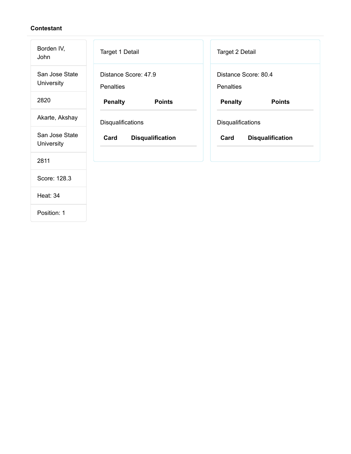| Borden IV,<br>John           | Target 1 Detail                          | Target 2 Detail                   |
|------------------------------|------------------------------------------|-----------------------------------|
| San Jose State<br>University | Distance Score: 47.9<br><b>Penalties</b> | Distance Score: 80.4<br>Penalties |
| 2820                         | <b>Penalty</b><br><b>Points</b>          | <b>Penalty</b><br><b>Points</b>   |
| Akarte, Akshay               | Disqualifications                        | Disqualifications                 |
| San Jose State<br>University | Card<br><b>Disqualification</b>          | <b>Disqualification</b><br>Card   |
| 2811                         |                                          |                                   |
| Score: 128.3                 |                                          |                                   |
| <b>Heat: 34</b>              |                                          |                                   |
|                              |                                          |                                   |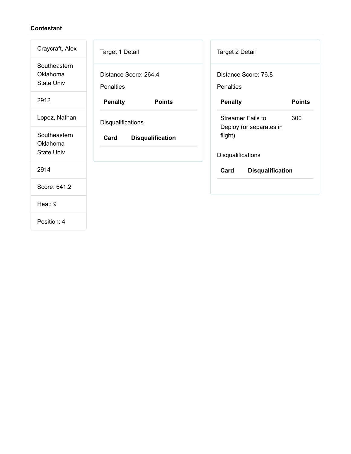| Craycraft, Alex                               | Target 1 Detail                           | Target 2 Detail                                         |
|-----------------------------------------------|-------------------------------------------|---------------------------------------------------------|
| Southeastern<br>Oklahoma<br><b>State Univ</b> | Distance Score: 264.4<br><b>Penalties</b> | Distance Score: 76.8<br><b>Penalties</b>                |
| 2912                                          | <b>Penalty</b><br><b>Points</b>           | <b>Penalty</b><br><b>Points</b>                         |
| Lopez, Nathan                                 | <b>Disqualifications</b>                  | 300<br><b>Streamer Fails to</b>                         |
| Southeastern<br>Oklahoma<br><b>State Univ</b> | Card<br><b>Disqualification</b>           | Deploy (or separates in<br>flight)<br>Disqualifications |
| 2914                                          |                                           | Card<br><b>Disqualification</b>                         |
| Score: 641.2                                  |                                           |                                                         |
| Heat: 9                                       |                                           |                                                         |
| Position: 4                                   |                                           |                                                         |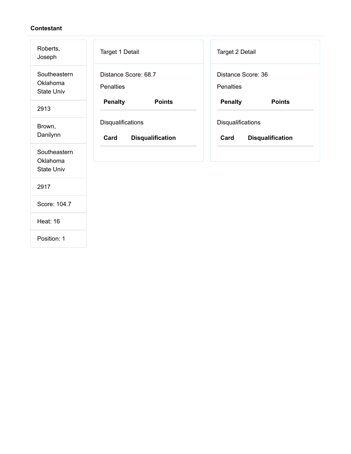| Roberts,<br>Joseph                            | Target 1 Detail                                      | Target 2 Detail                                      |
|-----------------------------------------------|------------------------------------------------------|------------------------------------------------------|
| Southeastern<br>Oklahoma<br><b>State Univ</b> | Distance Score: 68.7<br><b>Penalties</b>             | Distance Score: 36<br><b>Penalties</b>               |
| 2913                                          | <b>Penalty</b><br><b>Points</b>                      | <b>Penalty</b><br><b>Points</b>                      |
| Brown,<br>Danilynn                            | Disqualifications<br>Card<br><b>Disqualification</b> | Disqualifications<br>Card<br><b>Disqualification</b> |
| Southeastern<br>Oklahoma<br><b>State Univ</b> |                                                      |                                                      |
| 2917                                          |                                                      |                                                      |
| Score: 104.7                                  |                                                      |                                                      |
| <b>Heat: 16</b>                               |                                                      |                                                      |
| Position: 1                                   |                                                      |                                                      |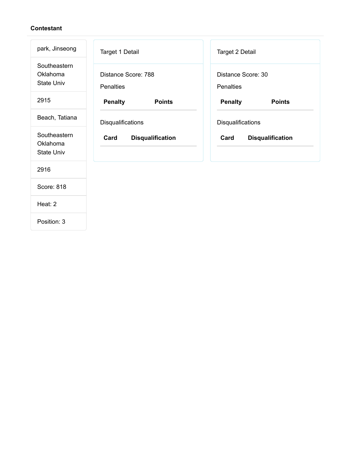| park, Jinseong                                | Target 1 Detail                         | Target 2 Detail                 |
|-----------------------------------------------|-----------------------------------------|---------------------------------|
| Southeastern<br>Oklahoma<br><b>State Univ</b> | Distance Score: 788<br><b>Penalties</b> | Distance Score: 30<br>Penalties |
| 2915                                          | <b>Penalty</b><br><b>Points</b>         | <b>Penalty</b><br><b>Points</b> |
| Beach, Tatiana                                | Disqualifications                       | Disqualifications               |
| Southeastern<br>Oklahoma<br><b>State Univ</b> | Card<br><b>Disqualification</b>         | Card<br><b>Disqualification</b> |
| 2916                                          |                                         |                                 |
| Score: 818                                    |                                         |                                 |
| Heat: 2                                       |                                         |                                 |
|                                               |                                         |                                 |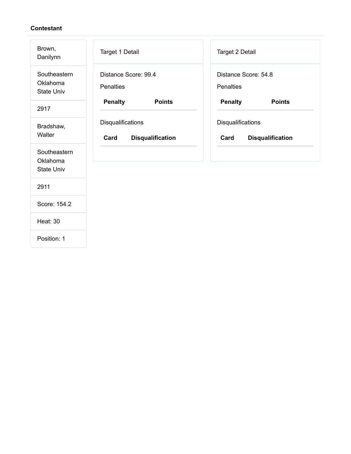| Brown,<br>Danilynn                            | Target 1 Detail                                      | Target 2 Detail                                      |
|-----------------------------------------------|------------------------------------------------------|------------------------------------------------------|
| Southeastern<br>Oklahoma<br><b>State Univ</b> | Distance Score: 99.4<br><b>Penalties</b>             | Distance Score: 54.8<br><b>Penalties</b>             |
| 2917                                          | <b>Penalty</b><br><b>Points</b>                      | <b>Penalty</b><br><b>Points</b>                      |
| Bradshaw,<br>Walter                           | Disqualifications<br>Card<br><b>Disqualification</b> | Disqualifications<br>Card<br><b>Disqualification</b> |
| Southeastern<br>Oklahoma<br><b>State Univ</b> |                                                      |                                                      |
| 2911                                          |                                                      |                                                      |
| Score: 154.2                                  |                                                      |                                                      |
| <b>Heat: 30</b>                               |                                                      |                                                      |
| Position: 1                                   |                                                      |                                                      |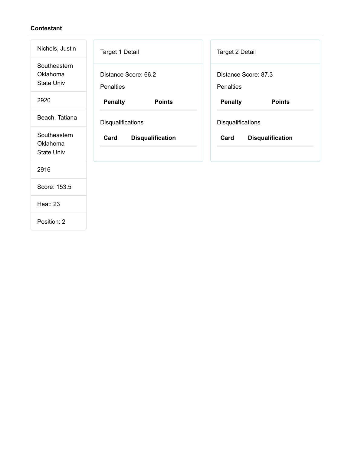| Nichols, Justin                               | Target 1 Detail                          | Target 2 Detail                          |
|-----------------------------------------------|------------------------------------------|------------------------------------------|
| Southeastern<br>Oklahoma<br><b>State Univ</b> | Distance Score: 66.2<br><b>Penalties</b> | Distance Score: 87.3<br><b>Penalties</b> |
| 2920                                          | <b>Penalty</b><br><b>Points</b>          | <b>Penalty</b><br><b>Points</b>          |
| Beach, Tatiana                                | Disqualifications                        | Disqualifications                        |
| Southeastern<br>Oklahoma<br><b>State Univ</b> | Card<br><b>Disqualification</b>          | Card<br><b>Disqualification</b>          |
| 2916                                          |                                          |                                          |
| Score: 153.5                                  |                                          |                                          |
| <b>Heat: 23</b>                               |                                          |                                          |
|                                               |                                          |                                          |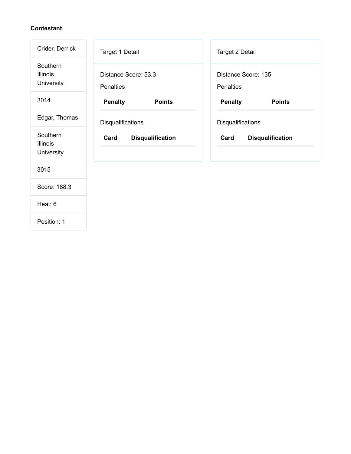| Crider, Derrick                           | Target 1 Detail                          | <b>Target 2 Detail</b>           |
|-------------------------------------------|------------------------------------------|----------------------------------|
| Southern<br><b>Illinois</b><br>University | Distance Score: 53.3<br><b>Penalties</b> | Distance Score: 135<br>Penalties |
| 3014                                      | <b>Penalty</b><br><b>Points</b>          | <b>Penalty</b><br><b>Points</b>  |
| Edgar, Thomas                             | Disqualifications                        | Disqualifications                |
| Southern<br><b>Illinois</b><br>University | Card<br><b>Disqualification</b>          | Card<br><b>Disqualification</b>  |
| 3015                                      |                                          |                                  |
| Score: 188.3                              |                                          |                                  |
| Heat: 6                                   |                                          |                                  |
|                                           |                                          |                                  |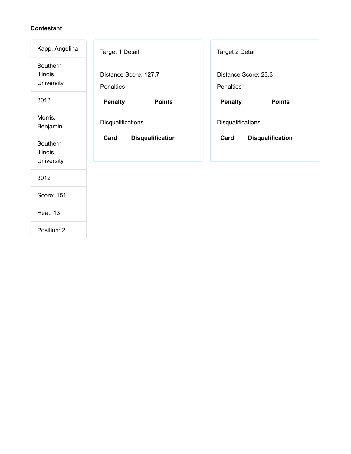| Kapp, Angelina                            | Target 1 Detail                           | Target 2 Detail                   |
|-------------------------------------------|-------------------------------------------|-----------------------------------|
| Southern<br><b>Illinois</b><br>University | Distance Score: 127.7<br><b>Penalties</b> | Distance Score: 23.3<br>Penalties |
| 3018                                      | <b>Penalty</b><br><b>Points</b>           | <b>Penalty</b><br><b>Points</b>   |
| Morris,<br>Benjamin                       | Disqualifications                         | Disqualifications                 |
| Southern<br>Illinois<br>University        | <b>Disqualification</b><br>Card           | Card<br><b>Disqualification</b>   |
| 3012                                      |                                           |                                   |
| Score: 151                                |                                           |                                   |
| <b>Heat: 13</b>                           |                                           |                                   |
| Position: 2                               |                                           |                                   |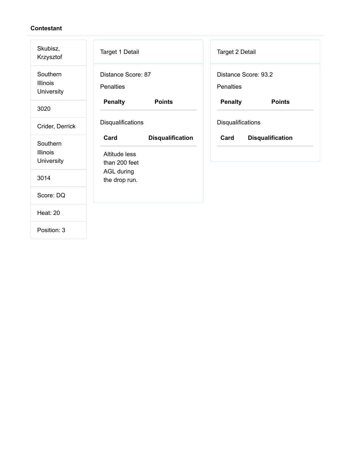| Skubisz,<br>Krzysztof              | Target 1 Detail                        |                         | Target 2 Detail   |                         |
|------------------------------------|----------------------------------------|-------------------------|-------------------|-------------------------|
| Southern<br>Illinois<br>University | Distance Score: 87<br>Penalties        |                         | <b>Penalties</b>  | Distance Score: 93.2    |
| 3020                               | <b>Penalty</b>                         | <b>Points</b>           | <b>Penalty</b>    | <b>Points</b>           |
| Crider, Derrick                    | Disqualifications                      |                         | Disqualifications |                         |
| Southern<br>Illinois<br>University | Card<br>Altitude less<br>than 200 feet | <b>Disqualification</b> | Card              | <b>Disqualification</b> |
| 3014                               | <b>AGL during</b><br>the drop run.     |                         |                   |                         |
| Score: DQ                          |                                        |                         |                   |                         |
| <b>Heat: 20</b>                    |                                        |                         |                   |                         |
| Position: 3                        |                                        |                         |                   |                         |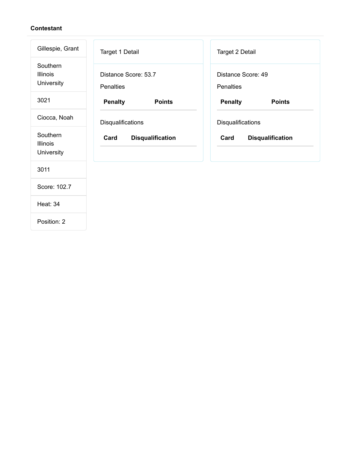| Gillespie, Grant                          | Target 1 Detail                          | Target 2 Detail                        |
|-------------------------------------------|------------------------------------------|----------------------------------------|
| Southern<br><b>Illinois</b><br>University | Distance Score: 53.7<br><b>Penalties</b> | Distance Score: 49<br><b>Penalties</b> |
| 3021                                      | <b>Penalty</b><br><b>Points</b>          | <b>Penalty</b><br><b>Points</b>        |
| Ciocca, Noah                              | Disqualifications                        | Disqualifications                      |
| Southern<br><b>Illinois</b><br>University | Card<br><b>Disqualification</b>          | Card<br><b>Disqualification</b>        |
| 3011                                      |                                          |                                        |
| Score: 102.7                              |                                          |                                        |
| <b>Heat: 34</b>                           |                                          |                                        |
| Position: 2                               |                                          |                                        |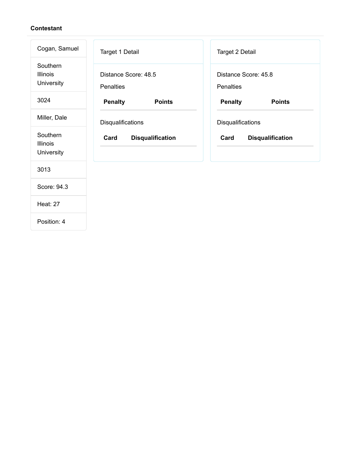| Cogan, Samuel                             | Target 1 Detail                          | Target 2 Detail                   |
|-------------------------------------------|------------------------------------------|-----------------------------------|
| Southern<br><b>Illinois</b><br>University | Distance Score: 48.5<br><b>Penalties</b> | Distance Score: 45.8<br>Penalties |
| 3024                                      | <b>Penalty</b><br><b>Points</b>          | <b>Penalty</b><br><b>Points</b>   |
| Miller, Dale                              | Disqualifications                        | Disqualifications                 |
| Southern<br><b>Illinois</b><br>University | Card<br><b>Disqualification</b>          | Card<br><b>Disqualification</b>   |
| 3013                                      |                                          |                                   |
| Score: 94.3                               |                                          |                                   |
| <b>Heat: 27</b>                           |                                          |                                   |
| Position: 4                               |                                          |                                   |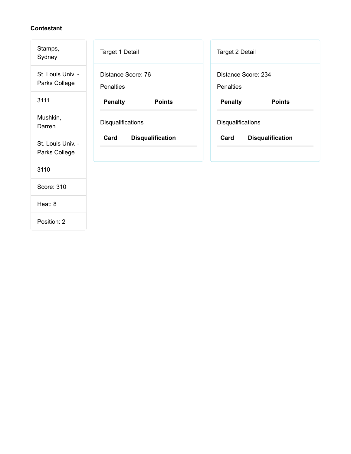| Stamps,<br>Sydney                  | Target 1 Detail                        | Target 2 Detail                  |
|------------------------------------|----------------------------------------|----------------------------------|
| St. Louis Univ. -<br>Parks College | Distance Score: 76<br><b>Penalties</b> | Distance Score: 234<br>Penalties |
| 3111                               | <b>Penalty</b><br><b>Points</b>        | <b>Penalty</b><br><b>Points</b>  |
| Mushkin,<br>Darren                 | Disqualifications                      | Disqualifications                |
| St. Louis Univ. -<br>Parks College | Card<br><b>Disqualification</b>        | Card<br><b>Disqualification</b>  |
| 3110                               |                                        |                                  |
| Score: 310                         |                                        |                                  |
| Heat: 8                            |                                        |                                  |
|                                    |                                        |                                  |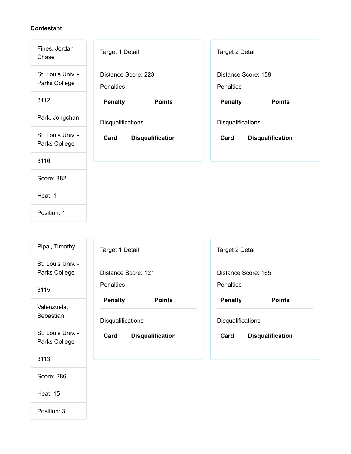| Fines, Jordan-<br>Chase            | Target 1 Detail                         | Target 2 Detail                         |
|------------------------------------|-----------------------------------------|-----------------------------------------|
| St. Louis Univ. -<br>Parks College | Distance Score: 223<br><b>Penalties</b> | Distance Score: 159<br><b>Penalties</b> |
| 3112                               | <b>Penalty</b><br><b>Points</b>         | <b>Penalty</b><br><b>Points</b>         |
| Park, Jongchan                     | Disqualifications                       | Disqualifications                       |
| St. Louis Univ. -<br>Parks College | Card<br><b>Disqualification</b>         | Card<br><b>Disqualification</b>         |
| 3116                               |                                         |                                         |
| Score: 382                         |                                         |                                         |
| Heat: 1                            |                                         |                                         |
| Position: 1                        |                                         |                                         |

| Pipal, Timothy                     | Target 1 Detail                 | Target 2 Detail                 |
|------------------------------------|---------------------------------|---------------------------------|
| St. Louis Univ. -<br>Parks College | Distance Score: 121             | Distance Score: 165             |
| 3115                               | <b>Penalties</b>                | <b>Penalties</b>                |
| Valenzuela,                        | <b>Penalty</b><br><b>Points</b> | <b>Penalty</b><br><b>Points</b> |
| Sebastian                          | <b>Disqualifications</b>        | <b>Disqualifications</b>        |
| St. Louis Univ. -<br>Parks College | Card<br><b>Disqualification</b> | Card<br><b>Disqualification</b> |
| 3113                               |                                 |                                 |
| Score: 286                         |                                 |                                 |

Heat: 15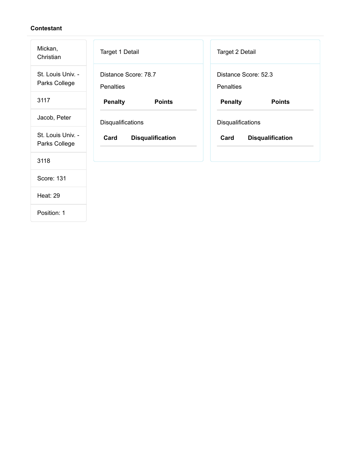| Mickan,<br>Christian               | Target 1 Detail                          | Target 2 Detail                   |
|------------------------------------|------------------------------------------|-----------------------------------|
| St. Louis Univ. -<br>Parks College | Distance Score: 78.7<br><b>Penalties</b> | Distance Score: 52.3<br>Penalties |
| 3117                               | <b>Penalty</b><br><b>Points</b>          | <b>Penalty</b><br><b>Points</b>   |
| Jacob, Peter                       | Disqualifications                        | <b>Disqualifications</b>          |
| St. Louis Univ. -<br>Parks College | Card<br><b>Disqualification</b>          | Card<br><b>Disqualification</b>   |
| 3118                               |                                          |                                   |
| Score: 131                         |                                          |                                   |
| <b>Heat: 29</b>                    |                                          |                                   |
| Position: 1                        |                                          |                                   |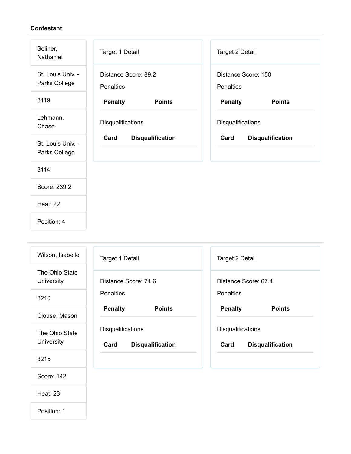| Seliner,<br>Nathaniel              | Target 1 Detail                          | Target 2 Detail                  |
|------------------------------------|------------------------------------------|----------------------------------|
| St. Louis Univ. -<br>Parks College | Distance Score: 89.2<br><b>Penalties</b> | Distance Score: 150<br>Penalties |
| 3119                               | <b>Penalty</b><br><b>Points</b>          | <b>Penalty</b><br><b>Points</b>  |
| Lehmann,<br>Chase                  | Disqualifications                        | Disqualifications                |
| St. Louis Univ. -<br>Parks College | Card<br><b>Disqualification</b>          | Card<br><b>Disqualification</b>  |
| 3114                               |                                          |                                  |
| Score: 239.2                       |                                          |                                  |
| <b>Heat: 22</b>                    |                                          |                                  |
| Position: 4                        |                                          |                                  |

| Wilson, Isabelle             | Target 1 Detail                                             | Target 2 Detail                                             |
|------------------------------|-------------------------------------------------------------|-------------------------------------------------------------|
| The Ohio State<br>University | Distance Score: 74.6                                        | Distance Score: 67.4                                        |
| 3210                         | <b>Penalties</b>                                            | <b>Penalties</b>                                            |
| Clouse, Mason                | <b>Penalty</b><br><b>Points</b>                             | <b>Penalty</b><br><b>Points</b>                             |
| The Ohio State<br>University | <b>Disqualifications</b><br>Card<br><b>Disqualification</b> | <b>Disqualifications</b><br>Card<br><b>Disqualification</b> |
| 3215                         |                                                             |                                                             |
| Score: 142                   |                                                             |                                                             |
| <b>Heat: 23</b>              |                                                             |                                                             |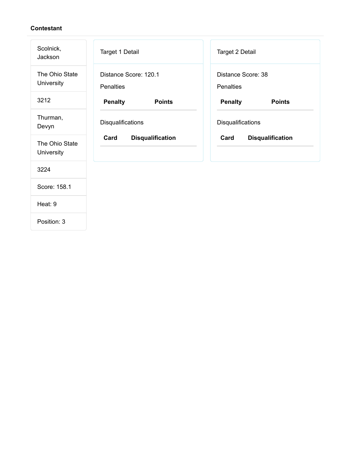| Scolnick,<br>Jackson         | Target 1 Detail                           | <b>Target 2 Detail</b>                 |
|------------------------------|-------------------------------------------|----------------------------------------|
| The Ohio State<br>University | Distance Score: 120.1<br><b>Penalties</b> | Distance Score: 38<br><b>Penalties</b> |
| 3212                         | <b>Penalty</b><br><b>Points</b>           | <b>Penalty</b><br><b>Points</b>        |
| Thurman,<br>Devyn            | Disqualifications                         | Disqualifications                      |
| The Ohio State<br>University | Card<br><b>Disqualification</b>           | Card<br><b>Disqualification</b>        |
| 3224                         |                                           |                                        |
| Score: 158.1                 |                                           |                                        |
| Heat: 9                      |                                           |                                        |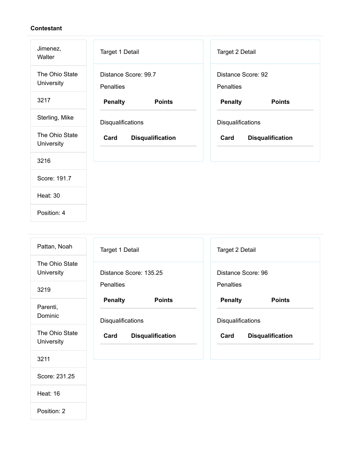| Jimenez,<br>Walter           | <b>Target 1 Detail</b>                   | Target 2 Detail                 |
|------------------------------|------------------------------------------|---------------------------------|
| The Ohio State<br>University | Distance Score: 99.7<br><b>Penalties</b> | Distance Score: 92<br>Penalties |
| 3217                         | <b>Penalty</b><br><b>Points</b>          | <b>Penalty</b><br><b>Points</b> |
| Sterling, Mike               | Disqualifications                        | Disqualifications               |
| The Ohio State<br>University | Card<br><b>Disqualification</b>          | Card<br><b>Disqualification</b> |
| 3216                         |                                          |                                 |
| Score: 191.7                 |                                          |                                 |
| <b>Heat: 30</b>              |                                          |                                 |
| Position: 4                  |                                          |                                 |

| Pattan, Noah                 | Target 1 Detail                 | Target 2 Detail                 |
|------------------------------|---------------------------------|---------------------------------|
| The Ohio State<br>University | Distance Score: 135.25          | Distance Score: 96              |
| 3219                         | <b>Penalties</b>                | <b>Penalties</b>                |
| Parenti,                     | <b>Penalty</b><br><b>Points</b> | <b>Penalty</b><br><b>Points</b> |
| Dominic                      | <b>Disqualifications</b>        | <b>Disqualifications</b>        |
| The Ohio State<br>University | Card<br><b>Disqualification</b> | Card<br><b>Disqualification</b> |
| 3211                         |                                 |                                 |
| Score: 231.25                |                                 |                                 |

Heat: 16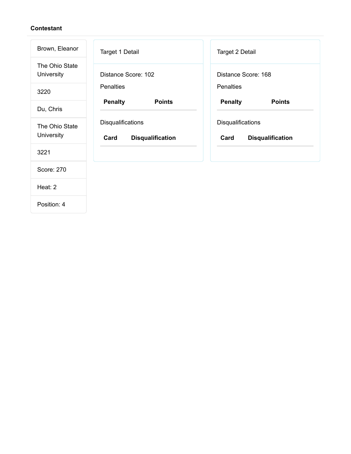| Brown, Eleanor               | Target 1 Detail                                      | Target 2 Detail                                      |
|------------------------------|------------------------------------------------------|------------------------------------------------------|
| The Ohio State<br>University | Distance Score: 102                                  | Distance Score: 168                                  |
| 3220                         | <b>Penalties</b>                                     | <b>Penalties</b>                                     |
| Du, Chris                    | <b>Penalty</b><br><b>Points</b>                      | <b>Penalty</b><br><b>Points</b>                      |
| The Ohio State<br>University | Disqualifications<br>Card<br><b>Disqualification</b> | Disqualifications<br>Card<br><b>Disqualification</b> |
| 3221                         |                                                      |                                                      |
| Score: 270                   |                                                      |                                                      |
| Heat: 2                      |                                                      |                                                      |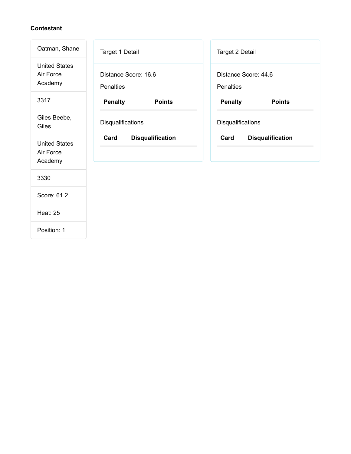| Oatman, Shane                                | Target 1 Detail                          | Target 2 Detail                          |
|----------------------------------------------|------------------------------------------|------------------------------------------|
| <b>United States</b><br>Air Force<br>Academy | Distance Score: 16.6<br><b>Penalties</b> | Distance Score: 44.6<br><b>Penalties</b> |
| 3317                                         | <b>Penalty</b><br><b>Points</b>          | <b>Penalty</b><br><b>Points</b>          |
| Giles Beebe,<br>Giles                        | Disqualifications                        | Disqualifications                        |
| <b>United States</b><br>Air Force<br>Academy | Card<br><b>Disqualification</b>          | Card<br><b>Disqualification</b>          |
| 3330                                         |                                          |                                          |
| Score: 61.2                                  |                                          |                                          |
| <b>Heat: 25</b>                              |                                          |                                          |
| Position: 1                                  |                                          |                                          |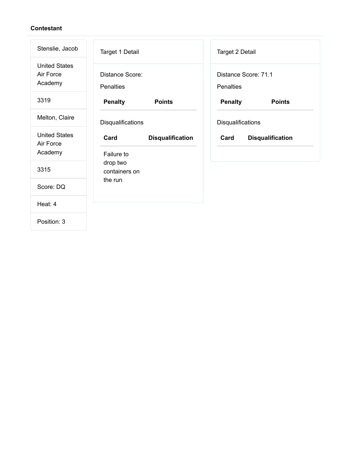| Stenslie, Jacob                              | Target 1 Detail                     |                         |                  | <b>Target 2 Detail</b> |                         |
|----------------------------------------------|-------------------------------------|-------------------------|------------------|------------------------|-------------------------|
| <b>United States</b><br>Air Force<br>Academy | Distance Score:<br><b>Penalties</b> |                         | <b>Penalties</b> | Distance Score: 71.1   |                         |
| 3319                                         | <b>Penalty</b>                      | <b>Points</b>           |                  | <b>Penalty</b>         | <b>Points</b>           |
| Melton, Claire                               | Disqualifications                   |                         |                  | Disqualifications      |                         |
| <b>United States</b><br>Air Force            | Card                                | <b>Disqualification</b> | Card             |                        | <b>Disqualification</b> |
| Academy                                      | Failure to                          |                         |                  |                        |                         |
| 3315                                         | drop two<br>containers on           |                         |                  |                        |                         |
| Score: DQ                                    | the run                             |                         |                  |                        |                         |
| Heat: 4                                      |                                     |                         |                  |                        |                         |
| Position: 3                                  |                                     |                         |                  |                        |                         |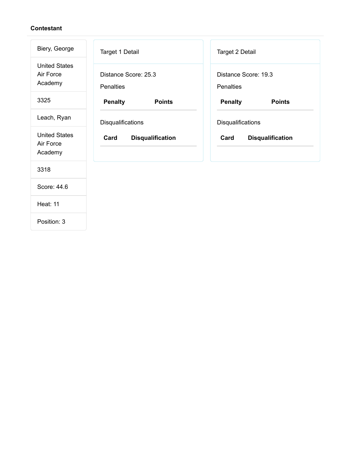| Biery, George                                | Target 1 Detail                          | Target 2 Detail                          |
|----------------------------------------------|------------------------------------------|------------------------------------------|
| <b>United States</b><br>Air Force<br>Academy | Distance Score: 25.3<br><b>Penalties</b> | Distance Score: 19.3<br><b>Penalties</b> |
| 3325                                         | <b>Penalty</b><br><b>Points</b>          | <b>Penalty</b><br><b>Points</b>          |
| Leach, Ryan                                  | Disqualifications                        | Disqualifications                        |
| <b>United States</b><br>Air Force<br>Academy | Card<br><b>Disqualification</b>          | Card<br><b>Disqualification</b>          |
| 3318                                         |                                          |                                          |
| Score: 44.6                                  |                                          |                                          |
| <b>Heat: 11</b>                              |                                          |                                          |
|                                              |                                          |                                          |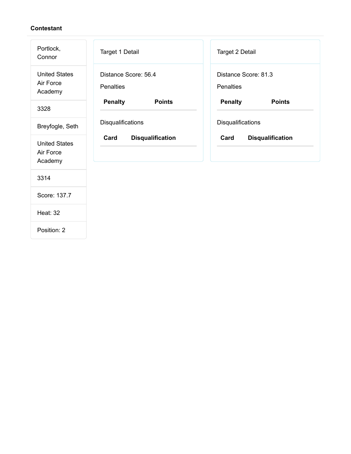| Portlock,<br>Connor                          | Target 1 Detail                          | Target 2 Detail                   |
|----------------------------------------------|------------------------------------------|-----------------------------------|
| <b>United States</b><br>Air Force<br>Academy | Distance Score: 56.4<br><b>Penalties</b> | Distance Score: 81.3<br>Penalties |
| 3328                                         | <b>Penalty</b><br><b>Points</b>          | <b>Penalty</b><br><b>Points</b>   |
| Breyfogle, Seth                              | Disqualifications                        | Disqualifications                 |
| <b>United States</b><br>Air Force<br>Academy | Card<br><b>Disqualification</b>          | Card<br><b>Disqualification</b>   |
| 3314                                         |                                          |                                   |
| Score: 137.7                                 |                                          |                                   |
| <b>Heat: 32</b>                              |                                          |                                   |
| Position: 2                                  |                                          |                                   |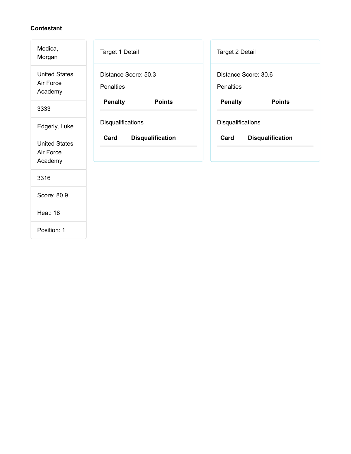| Modica,<br>Morgan                            | Target 1 Detail                          | Target 2 Detail                          |
|----------------------------------------------|------------------------------------------|------------------------------------------|
| <b>United States</b><br>Air Force<br>Academy | Distance Score: 50.3<br><b>Penalties</b> | Distance Score: 30.6<br><b>Penalties</b> |
| 3333                                         | <b>Penalty</b><br><b>Points</b>          | <b>Penalty</b><br><b>Points</b>          |
| Edgerly, Luke                                | Disqualifications                        | Disqualifications                        |
| <b>United States</b><br>Air Force<br>Academy | Card<br><b>Disqualification</b>          | Card<br><b>Disqualification</b>          |
| 3316                                         |                                          |                                          |
| Score: 80.9                                  |                                          |                                          |
| <b>Heat: 18</b>                              |                                          |                                          |
| Position: 1                                  |                                          |                                          |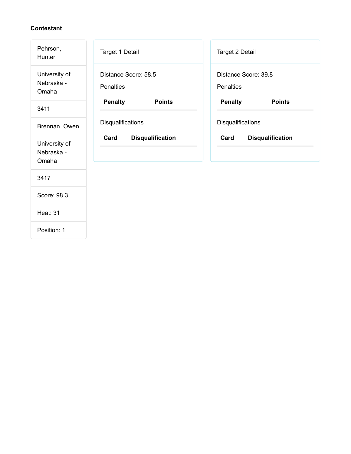| Pehrson,<br>Hunter                   | Target 1 Detail                          | Target 2 Detail                          |
|--------------------------------------|------------------------------------------|------------------------------------------|
| University of<br>Nebraska -<br>Omaha | Distance Score: 58.5<br><b>Penalties</b> | Distance Score: 39.8<br><b>Penalties</b> |
| 3411                                 | <b>Penalty</b><br><b>Points</b>          | <b>Penalty</b><br><b>Points</b>          |
| Brennan, Owen                        | Disqualifications                        | Disqualifications                        |
| University of<br>Nebraska -<br>Omaha | Card<br><b>Disqualification</b>          | Card<br><b>Disqualification</b>          |
| 3417                                 |                                          |                                          |
| Score: 98.3                          |                                          |                                          |
| <b>Heat: 31</b>                      |                                          |                                          |
| Position: 1                          |                                          |                                          |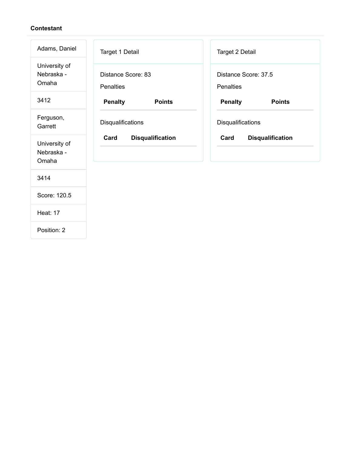| Adams, Daniel                        | Target 1 Detail                        | Target 2 Detail                          |
|--------------------------------------|----------------------------------------|------------------------------------------|
| University of<br>Nebraska -<br>Omaha | Distance Score: 83<br><b>Penalties</b> | Distance Score: 37.5<br><b>Penalties</b> |
| 3412                                 | <b>Penalty</b><br><b>Points</b>        | <b>Penalty</b><br><b>Points</b>          |
| Ferguson,<br>Garrett                 | Disqualifications                      | Disqualifications                        |
| University of<br>Nebraska -<br>Omaha | Card<br><b>Disqualification</b>        | Card<br><b>Disqualification</b>          |
| 3414                                 |                                        |                                          |
| Score: 120.5                         |                                        |                                          |
| <b>Heat: 17</b>                      |                                        |                                          |
| Position: 2                          |                                        |                                          |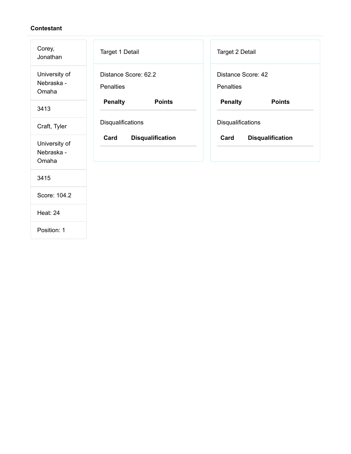| Corey,<br>Jonathan                   | Target 1 Detail                   | Target 2 Detail                        |
|--------------------------------------|-----------------------------------|----------------------------------------|
| University of<br>Nebraska -<br>Omaha | Distance Score: 62.2<br>Penalties | Distance Score: 42<br><b>Penalties</b> |
| 3413                                 | <b>Penalty</b><br><b>Points</b>   | <b>Penalty</b><br><b>Points</b>        |
| Craft, Tyler                         | Disqualifications                 | Disqualifications                      |
| University of<br>Nebraska -<br>Omaha | Card<br><b>Disqualification</b>   | Card<br><b>Disqualification</b>        |
| 3415                                 |                                   |                                        |
| Score: 104.2                         |                                   |                                        |
| Heat: 24                             |                                   |                                        |
| Position: 1                          |                                   |                                        |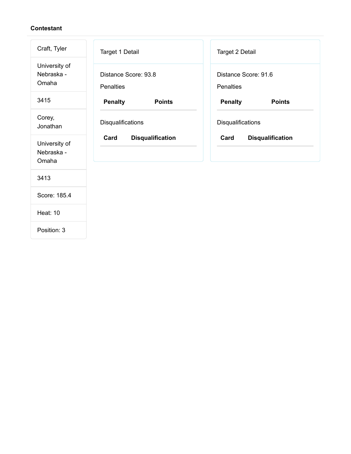| Craft, Tyler                         | Target 1 Detail                          | Target 2 Detail                          |
|--------------------------------------|------------------------------------------|------------------------------------------|
| University of<br>Nebraska -<br>Omaha | Distance Score: 93.8<br><b>Penalties</b> | Distance Score: 91.6<br><b>Penalties</b> |
| 3415                                 | <b>Penalty</b><br><b>Points</b>          | <b>Penalty</b><br><b>Points</b>          |
| Corey,<br>Jonathan                   | Disqualifications                        | Disqualifications                        |
| University of<br>Nebraska -<br>Omaha | Card<br><b>Disqualification</b>          | Card<br><b>Disqualification</b>          |
| 3413                                 |                                          |                                          |
| Score: 185.4                         |                                          |                                          |
| <b>Heat: 10</b>                      |                                          |                                          |
| Position: 3                          |                                          |                                          |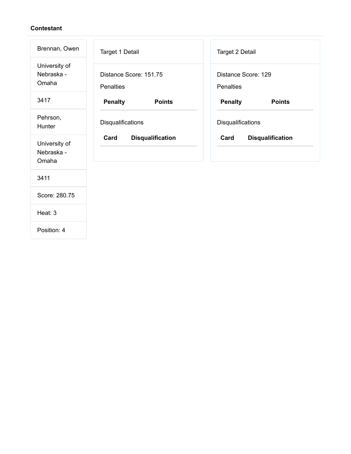| Brennan, Owen                        | Target 1 Detail                            | Target 2 Detail                         |
|--------------------------------------|--------------------------------------------|-----------------------------------------|
| University of<br>Nebraska -<br>Omaha | Distance Score: 151.75<br><b>Penalties</b> | Distance Score: 129<br><b>Penalties</b> |
| 3417                                 | <b>Penalty</b><br><b>Points</b>            | <b>Penalty</b><br><b>Points</b>         |
| Pehrson,<br>Hunter                   | Disqualifications                          | Disqualifications                       |
| University of<br>Nebraska -<br>Omaha | Card<br><b>Disqualification</b>            | Card<br><b>Disqualification</b>         |
| 3411                                 |                                            |                                         |
| Score: 280.75                        |                                            |                                         |
| Heat: 3                              |                                            |                                         |
| Position: 4                          |                                            |                                         |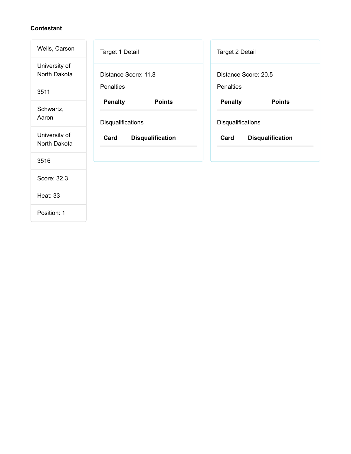| Wells, Carson                 | Target 1 Detail                                      | Target 2 Detail                                      |
|-------------------------------|------------------------------------------------------|------------------------------------------------------|
| University of<br>North Dakota | Distance Score: 11.8                                 | Distance Score: 20.5                                 |
| 3511                          | <b>Penalties</b>                                     | Penalties                                            |
| Schwartz,<br>Aaron            | <b>Penalty</b><br><b>Points</b><br>Disqualifications | <b>Penalty</b><br><b>Points</b><br>Disqualifications |
| University of<br>North Dakota | Card<br><b>Disqualification</b>                      | Card<br><b>Disqualification</b>                      |
| 3516                          |                                                      |                                                      |
| Score: 32.3                   |                                                      |                                                      |
| <b>Heat: 33</b>               |                                                      |                                                      |
| Position: 1                   |                                                      |                                                      |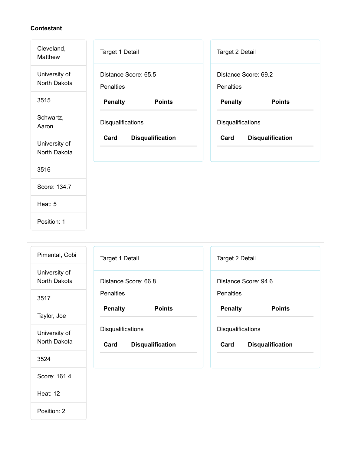| Cleveland,<br>Matthew         | Target 1 Detail                          | Target 2 Detail                   |
|-------------------------------|------------------------------------------|-----------------------------------|
| University of<br>North Dakota | Distance Score: 65.5<br><b>Penalties</b> | Distance Score: 69.2<br>Penalties |
| 3515                          | <b>Penalty</b><br><b>Points</b>          | <b>Penalty</b><br><b>Points</b>   |
| Schwartz,<br>Aaron            | Disqualifications                        | Disqualifications                 |
| University of<br>North Dakota | Card<br><b>Disqualification</b>          | Card<br><b>Disqualification</b>   |
| 3516                          |                                          |                                   |
| Score: 134.7                  |                                          |                                   |
| Heat: 5                       |                                          |                                   |
| Position: 1                   |                                          |                                   |

| Pimental, Cobi                | Target 1 Detail                                      | Target 2 Detail                                      |
|-------------------------------|------------------------------------------------------|------------------------------------------------------|
| University of<br>North Dakota | Distance Score: 66.8                                 | Distance Score: 94.6                                 |
| 3517                          | <b>Penalties</b>                                     | <b>Penalties</b>                                     |
| Taylor, Joe                   | <b>Penalty</b><br><b>Points</b>                      | <b>Penalty</b><br><b>Points</b>                      |
| University of<br>North Dakota | Disqualifications<br>Card<br><b>Disqualification</b> | Disqualifications<br>Card<br><b>Disqualification</b> |
| 3524                          |                                                      |                                                      |
| Score: 161.4                  |                                                      |                                                      |
| <b>Heat: 12</b>               |                                                      |                                                      |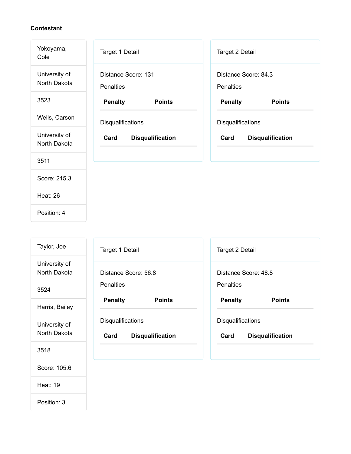Heat: 19

| Yokoyama,<br>Cole             | Target 1 Detail                         | Target 2 Detail                   |
|-------------------------------|-----------------------------------------|-----------------------------------|
| University of<br>North Dakota | Distance Score: 131<br><b>Penalties</b> | Distance Score: 84.3<br>Penalties |
| 3523                          | <b>Penalty</b><br><b>Points</b>         | <b>Penalty</b><br><b>Points</b>   |
| Wells, Carson                 | Disqualifications                       | Disqualifications                 |
| University of<br>North Dakota | Card<br><b>Disqualification</b>         | Card<br><b>Disqualification</b>   |
| 3511                          |                                         |                                   |
| Score: 215.3                  |                                         |                                   |
| <b>Heat: 26</b>               |                                         |                                   |
| Position: 4                   |                                         |                                   |

| Taylor, Joe                   | Target 1 Detail                                             | Target 2 Detail                                      |
|-------------------------------|-------------------------------------------------------------|------------------------------------------------------|
| University of<br>North Dakota | Distance Score: 56.8                                        | Distance Score: 48.8                                 |
| 3524                          | <b>Penalties</b>                                            | <b>Penalties</b>                                     |
| Harris, Bailey                | <b>Penalty</b><br><b>Points</b>                             | <b>Penalty</b><br><b>Points</b>                      |
| University of<br>North Dakota | <b>Disqualifications</b><br>Card<br><b>Disqualification</b> | Disqualifications<br><b>Disqualification</b><br>Card |
| 3518                          |                                                             |                                                      |
| Score: 105.6                  |                                                             |                                                      |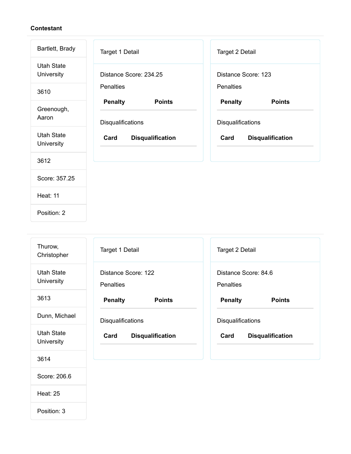| Bartlett, Brady                        | Target 1 Detail                                      | Target 2 Detail                                      |
|----------------------------------------|------------------------------------------------------|------------------------------------------------------|
| <b>Utah State</b><br><b>University</b> | Distance Score: 234.25                               | Distance Score: 123                                  |
| 3610                                   | <b>Penalties</b>                                     | <b>Penalties</b>                                     |
| Greenough,<br>Aaron                    | <b>Penalty</b><br><b>Points</b><br>Disqualifications | <b>Penalty</b><br><b>Points</b><br>Disqualifications |
| <b>Utah State</b><br>University        | Card<br><b>Disqualification</b>                      | Card<br><b>Disqualification</b>                      |
| 3612                                   |                                                      |                                                      |
| Score: 357.25                          |                                                      |                                                      |
| <b>Heat: 11</b>                        |                                                      |                                                      |
|                                        |                                                      |                                                      |

| Thurow,<br>Christopher          | Target 1 Detail                         | Target 2 Detail                          |
|---------------------------------|-----------------------------------------|------------------------------------------|
| <b>Utah State</b><br>University | Distance Score: 122<br><b>Penalties</b> | Distance Score: 84.6<br><b>Penalties</b> |
| 3613                            | <b>Penalty</b><br><b>Points</b>         | <b>Penalty</b><br><b>Points</b>          |
| Dunn, Michael                   | Disqualifications                       | Disqualifications                        |
| <b>Utah State</b><br>University | Card<br><b>Disqualification</b>         | Card<br><b>Disqualification</b>          |
| 3614                            |                                         |                                          |
| Score: 206.6                    |                                         |                                          |

Heat: 25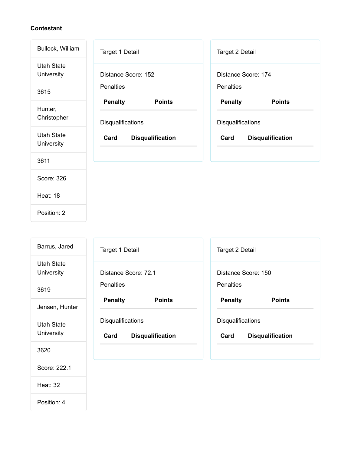| Bullock, William                | Target 1 Detail                                             | Target 2 Detail                                      |
|---------------------------------|-------------------------------------------------------------|------------------------------------------------------|
| <b>Utah State</b><br>University | Distance Score: 152                                         | Distance Score: 174                                  |
| 3615                            | <b>Penalties</b>                                            | <b>Penalties</b>                                     |
| Hunter,<br>Christopher          | <b>Penalty</b><br><b>Points</b><br><b>Disqualifications</b> | <b>Penalty</b><br><b>Points</b><br>Disqualifications |
| <b>Utah State</b><br>University | Card<br><b>Disqualification</b>                             | Card<br><b>Disqualification</b>                      |
| 3611                            |                                                             |                                                      |
| Score: 326                      |                                                             |                                                      |
| <b>Heat: 18</b>                 |                                                             |                                                      |
| Position: 2                     |                                                             |                                                      |

| Barrus, Jared                   | Target 1 Detail                                             | <b>Target 2 Detail</b>                                      |
|---------------------------------|-------------------------------------------------------------|-------------------------------------------------------------|
| Utah State<br>University        | Distance Score: 72.1                                        | Distance Score: 150                                         |
| 3619                            | <b>Penalties</b>                                            | <b>Penalties</b>                                            |
| Jensen, Hunter                  | <b>Penalty</b><br><b>Points</b>                             | <b>Penalty</b><br><b>Points</b>                             |
| <b>Utah State</b><br>University | <b>Disqualifications</b><br>Card<br><b>Disqualification</b> | <b>Disqualifications</b><br>Card<br><b>Disqualification</b> |
| 3620                            |                                                             |                                                             |
| Score: 222.1                    |                                                             |                                                             |

Heat: 32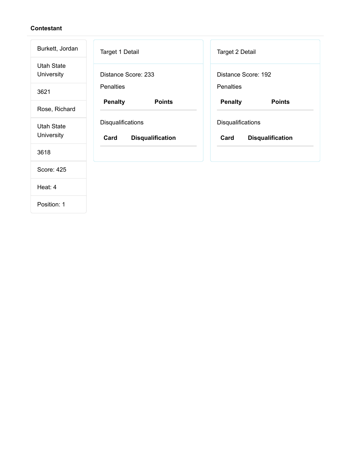| Burkett, Jordan                 | Target 1 Detail                                      | Target 2 Detail                                      |
|---------------------------------|------------------------------------------------------|------------------------------------------------------|
| Utah State<br>University        | Distance Score: 233                                  | Distance Score: 192                                  |
| 3621                            | <b>Penalties</b>                                     | <b>Penalties</b>                                     |
| Rose, Richard                   | <b>Penalty</b><br><b>Points</b>                      | <b>Penalty</b><br><b>Points</b>                      |
| <b>Utah State</b><br>University | Disqualifications<br>Card<br><b>Disqualification</b> | Disqualifications<br>Card<br><b>Disqualification</b> |
| 3618                            |                                                      |                                                      |
| Score: 425                      |                                                      |                                                      |
| Heat: 4                         |                                                      |                                                      |
|                                 |                                                      |                                                      |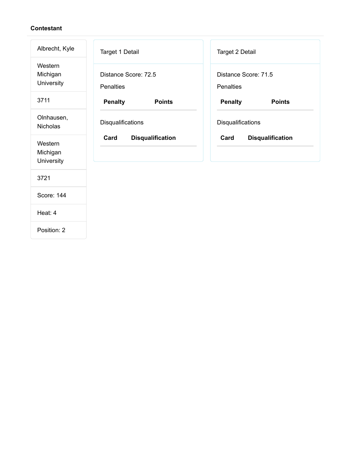| Albrecht, Kyle                    | Target 1 Detail                          | Target 2 Detail                   |
|-----------------------------------|------------------------------------------|-----------------------------------|
| Western<br>Michigan<br>University | Distance Score: 72.5<br><b>Penalties</b> | Distance Score: 71.5<br>Penalties |
| 3711                              | <b>Penalty</b><br><b>Points</b>          | <b>Penalty</b><br><b>Points</b>   |
| Olnhausen,<br><b>Nicholas</b>     | Disqualifications                        | Disqualifications                 |
| Western<br>Michigan<br>University | Card<br><b>Disqualification</b>          | Card<br><b>Disqualification</b>   |
| 3721                              |                                          |                                   |
| Score: 144                        |                                          |                                   |
| Heat: 4                           |                                          |                                   |
| Position: 2                       |                                          |                                   |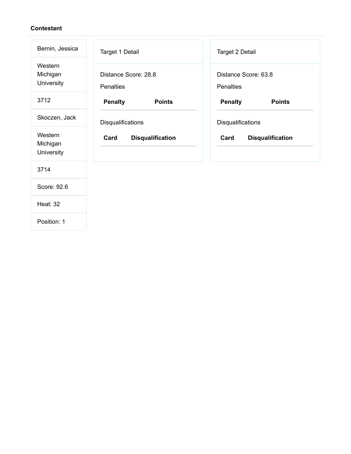| Bernin, Jessica                   | Target 1 Detail                          | Target 2 Detail                   |
|-----------------------------------|------------------------------------------|-----------------------------------|
| Western<br>Michigan<br>University | Distance Score: 28.8<br><b>Penalties</b> | Distance Score: 63.8<br>Penalties |
| 3712                              | <b>Penalty</b><br><b>Points</b>          | <b>Penalty</b><br><b>Points</b>   |
| Skoczen, Jack                     | Disqualifications                        | Disqualifications                 |
| Western<br>Michigan<br>University | <b>Disqualification</b><br>Card          | Card<br><b>Disqualification</b>   |
| 3714                              |                                          |                                   |
| Score: 92.6                       |                                          |                                   |
| <b>Heat: 32</b>                   |                                          |                                   |
|                                   |                                          |                                   |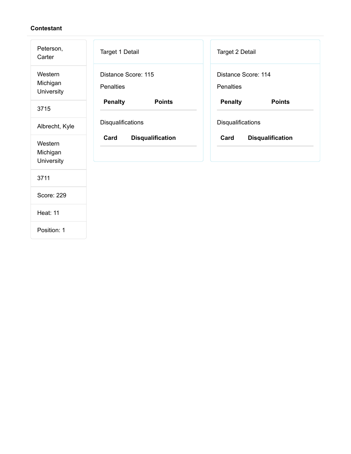| Peterson,<br>Carter               | Target 1 Detail                         | Target 2 Detail                  |  |  |
|-----------------------------------|-----------------------------------------|----------------------------------|--|--|
| Western<br>Michigan<br>University | Distance Score: 115<br><b>Penalties</b> | Distance Score: 114<br>Penalties |  |  |
| 3715                              | <b>Penalty</b><br><b>Points</b>         | <b>Penalty</b><br><b>Points</b>  |  |  |
| Albrecht, Kyle                    | Disqualifications                       | Disqualifications                |  |  |
| Western<br>Michigan<br>University | Card<br><b>Disqualification</b>         | Card<br><b>Disqualification</b>  |  |  |
| 3711                              |                                         |                                  |  |  |
| Score: 229                        |                                         |                                  |  |  |
| <b>Heat: 11</b>                   |                                         |                                  |  |  |
| Position: 1                       |                                         |                                  |  |  |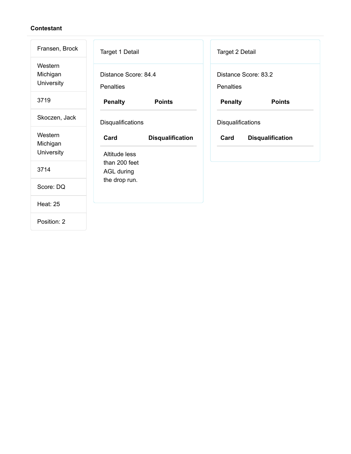| Fransen, Brock                    | Target 1 Detail                                     |                         | Target 2 Detail   |                         |  |
|-----------------------------------|-----------------------------------------------------|-------------------------|-------------------|-------------------------|--|
| Western<br>Michigan<br>University | Distance Score: 84.4<br><b>Penalties</b>            |                         | <b>Penalties</b>  | Distance Score: 83.2    |  |
| 3719                              | <b>Penalty</b>                                      | <b>Points</b>           | <b>Penalty</b>    | <b>Points</b>           |  |
| Skoczen, Jack                     | Disqualifications                                   |                         | Disqualifications |                         |  |
| Western<br>Michigan<br>University | Card                                                | <b>Disqualification</b> | Card              | <b>Disqualification</b> |  |
| 3714                              | Altitude less<br>than 200 feet<br><b>AGL during</b> |                         |                   |                         |  |
| Score: DQ                         | the drop run.                                       |                         |                   |                         |  |
| <b>Heat: 25</b>                   |                                                     |                         |                   |                         |  |
| Position: 2                       |                                                     |                         |                   |                         |  |